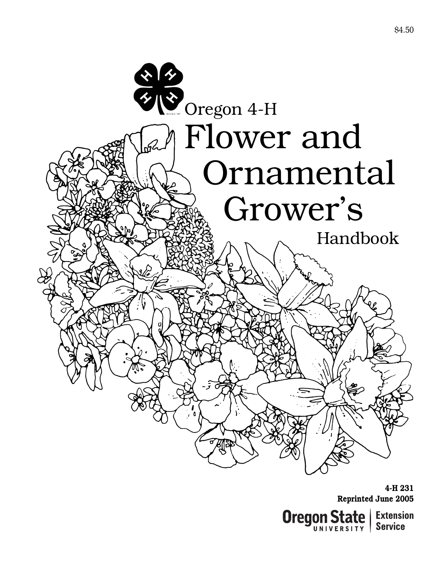

**4-H 231 Reprinted June 2005**

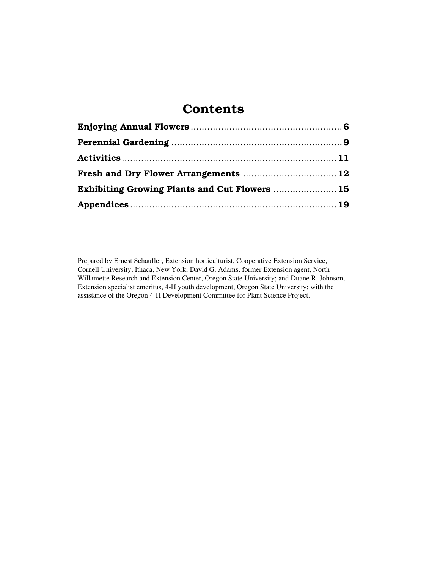# **Contents**

| Exhibiting Growing Plants and Cut Flowers  15 |  |
|-----------------------------------------------|--|
|                                               |  |

Prepared by Ernest Schaufler, Extension horticulturist, Cooperative Extension Service, Cornell University, Ithaca, New York; David G. Adams, former Extension agent, North Willamette Research and Extension Center, Oregon State University; and Duane R. Johnson, Extension specialist emeritus, 4-H youth development, Oregon State University; with the assistance of the Oregon 4-H Development Committee for Plant Science Project.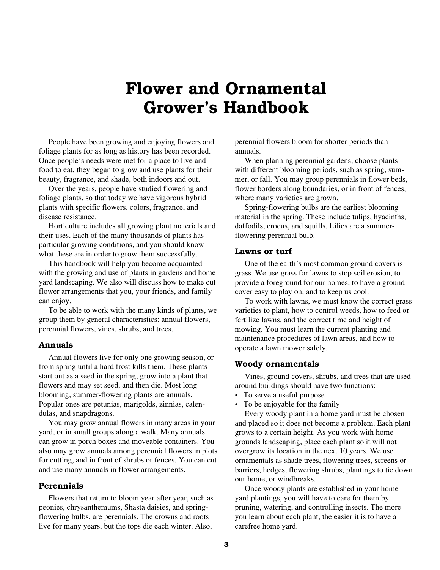# **Flower and Ornamental Grower's Handbook**

People have been growing and enjoying flowers and foliage plants for as long as history has been recorded. Once people's needs were met for a place to live and food to eat, they began to grow and use plants for their beauty, fragrance, and shade, both indoors and out.

Over the years, people have studied flowering and foliage plants, so that today we have vigorous hybrid plants with specific flowers, colors, fragrance, and disease resistance.

Horticulture includes all growing plant materials and their uses. Each of the many thousands of plants has particular growing conditions, and you should know what these are in order to grow them successfully.

This handbook will help you become acquainted with the growing and use of plants in gardens and home yard landscaping. We also will discuss how to make cut flower arrangements that you, your friends, and family can enjoy.

To be able to work with the many kinds of plants, we group them by general characteristics: annual flowers, perennial flowers, vines, shrubs, and trees.

### **Annuals**

Annual flowers live for only one growing season, or from spring until a hard frost kills them. These plants start out as a seed in the spring, grow into a plant that flowers and may set seed, and then die. Most long blooming, summer-flowering plants are annuals. Popular ones are petunias, marigolds, zinnias, calendulas, and snapdragons.

You may grow annual flowers in many areas in your yard, or in small groups along a walk. Many annuals can grow in porch boxes and moveable containers. You also may grow annuals among perennial flowers in plots for cutting, and in front of shrubs or fences. You can cut and use many annuals in flower arrangements.

#### **Perennials**

Flowers that return to bloom year after year, such as peonies, chrysanthemums, Shasta daisies, and springflowering bulbs, are perennials. The crowns and roots live for many years, but the tops die each winter. Also,

perennial flowers bloom for shorter periods than annuals.

When planning perennial gardens, choose plants with different blooming periods, such as spring, summer, or fall. You may group perennials in flower beds, flower borders along boundaries, or in front of fences, where many varieties are grown.

Spring-flowering bulbs are the earliest blooming material in the spring. These include tulips, hyacinths, daffodils, crocus, and squills. Lilies are a summerflowering perennial bulb.

#### **Lawns or turf**

One of the earth's most common ground covers is grass. We use grass for lawns to stop soil erosion, to provide a foreground for our homes, to have a ground cover easy to play on, and to keep us cool.

To work with lawns, we must know the correct grass varieties to plant, how to control weeds, how to feed or fertilize lawns, and the correct time and height of mowing. You must learn the current planting and maintenance procedures of lawn areas, and how to operate a lawn mower safely.

### **Woody ornamentals**

Vines, ground covers, shrubs, and trees that are used around buildings should have two functions:

- To serve a useful purpose
- To be enjoyable for the family

Every woody plant in a home yard must be chosen and placed so it does not become a problem. Each plant grows to a certain height. As you work with home grounds landscaping, place each plant so it will not overgrow its location in the next 10 years. We use ornamentals as shade trees, flowering trees, screens or barriers, hedges, flowering shrubs, plantings to tie down our home, or windbreaks.

Once woody plants are established in your home yard plantings, you will have to care for them by pruning, watering, and controlling insects. The more you learn about each plant, the easier it is to have a carefree home yard.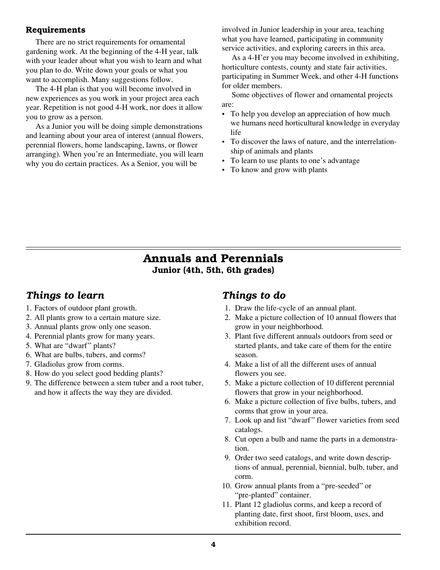### **Requirements**

There are no strict requirements for ornamental gardening work. At the beginning of the 4-H year, talk with your leader about what you wish to learn and what you plan to do. Write down your goals or what you want to accomplish. Many suggestions follow.

The 4-H plan is that you will become involved in new experiences as you work in your project area each year. Repetition is not good 4-H work, nor does it allow you to grow as a person.

As a Junior you will be doing simple demonstrations and learning about your area of interest (annual flowers, perennial flowers, home landscaping, lawns, or flower arranging). When you're an Intermediate, you will learn why you do certain practices. As a Senior, you will be

involved in Junior leadership in your area, teaching what you have learned, participating in community service activities, and exploring careers in this area.

As a 4-H'er you may become involved in exhibiting, horticulture contests, county and state fair activities, participating in Summer Week, and other 4-H functions for older members.

Some objectives of flower and ornamental projects are:

- To help you develop an appreciation of how much we humans need horticultural knowledge in everyday life
- To discover the laws of nature, and the interrelationship of animals and plants
- To learn to use plants to one's advantage
- To know and grow with plants

### **Annuals and Perennials Junior (4th, 5th, 6th grades)**

### *Things to learn*

- 1. Factors of outdoor plant growth.
- 2. All plants grow to a certain mature size.
- 3. Annual plants grow only one season.
- 4. Perennial plants grow for many years.
- 5. What are "dwarf" plants?
- 6. What are bulbs, tubers, and corms?
- 7. Gladiolus grow from corms.
- 8. How do you select good bedding plants?
- 9. The difference between a stem tuber and a root tuber, and how it affects the way they are divided.

### *Things to do*

- 1. Draw the life-cycle of an annual plant.
- 2. Make a picture collection of 10 annual flowers that grow in your neighborhood.
- 3. Plant five different annuals outdoors from seed or started plants, and take care of them for the entire season.
- 4. Make a list of all the different uses of annual flowers you see.
- 5. Make a picture collection of 10 different perennial flowers that grow in your neighborhood.
- 6. Make a picture collection of five bulbs, tubers, and corms that grow in your area.
- 7. Look up and list "dwarf" flower varieties from seed catalogs.
- 8. Cut open a bulb and name the parts in a demonstration.
- 9. Order two seed catalogs, and write down descriptions of annual, perennial, biennial, bulb, tuber, and corm.
- 10. Grow annual plants from a "pre-seeded" or "pre-planted" container.
- 11. Plant 12 gladiolus corms, and keep a record of planting date, first shoot, first bloom, uses, and exhibition record.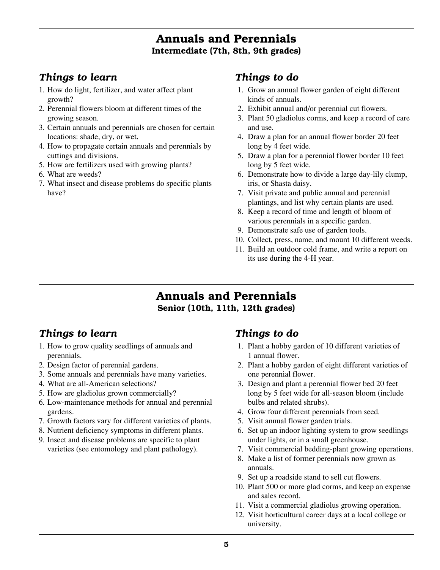### **Annuals and Perennials Intermediate (7th, 8th, 9th grades)**

### *Things to learn*

- 1. How do light, fertilizer, and water affect plant growth?
- 2. Perennial flowers bloom at different times of the growing season.
- 3. Certain annuals and perennials are chosen for certain locations: shade, dry, or wet.
- 4. How to propagate certain annuals and perennials by cuttings and divisions.
- 5. How are fertilizers used with growing plants?
- 6. What are weeds?
- 7. What insect and disease problems do specific plants have?

### *Things to do*

- 1. Grow an annual flower garden of eight different kinds of annuals.
- 2. Exhibit annual and/or perennial cut flowers.
- 3. Plant 50 gladiolus corms, and keep a record of care and use.
- 4. Draw a plan for an annual flower border 20 feet long by 4 feet wide.
- 5. Draw a plan for a perennial flower border 10 feet long by 5 feet wide.
- 6. Demonstrate how to divide a large day-lily clump, iris, or Shasta daisy.
- 7. Visit private and public annual and perennial plantings, and list why certain plants are used.
- 8. Keep a record of time and length of bloom of various perennials in a specific garden.
- 9. Demonstrate safe use of garden tools.
- 10. Collect, press, name, and mount 10 different weeds.
- 11. Build an outdoor cold frame, and write a report on its use during the 4-H year.

### **Annuals and Perennials Senior (10th, 11th, 12th grades)**

### *Things to learn*

- 1. How to grow quality seedlings of annuals and perennials.
- 2. Design factor of perennial gardens.
- 3. Some annuals and perennials have many varieties.
- 4. What are all-American selections?
- 5. How are gladiolus grown commercially?
- 6. Low-maintenance methods for annual and perennial gardens.
- 7. Growth factors vary for different varieties of plants.
- 8. Nutrient deficiency symptoms in different plants.
- 9. Insect and disease problems are specific to plant varieties (see entomology and plant pathology).

### *Things to do*

- 1. Plant a hobby garden of 10 different varieties of 1 annual flower.
- 2. Plant a hobby garden of eight different varieties of one perennial flower.
- 3. Design and plant a perennial flower bed 20 feet long by 5 feet wide for all-season bloom (include bulbs and related shrubs).
- 4. Grow four different perennials from seed.
- 5. Visit annual flower garden trials.
- 6. Set up an indoor lighting system to grow seedlings under lights, or in a small greenhouse.
- 7. Visit commercial bedding-plant growing operations.
- 8. Make a list of former perennials now grown as annuals.
- 9. Set up a roadside stand to sell cut flowers.
- 10. Plant 500 or more glad corms, and keep an expense and sales record.
- 11. Visit a commercial gladiolus growing operation.
- 12. Visit horticultural career days at a local college or university.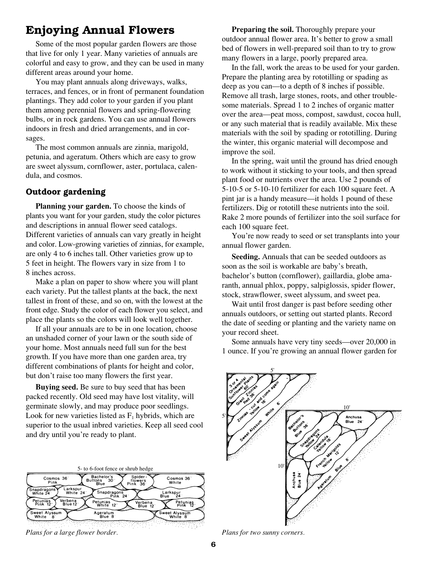### **Enjoying Annual Flowers**

Some of the most popular garden flowers are those that live for only 1 year. Many varieties of annuals are colorful and easy to grow, and they can be used in many different areas around your home.

You may plant annuals along driveways, walks, terraces, and fences, or in front of permanent foundation plantings. They add color to your garden if you plant them among perennial flowers and spring-flowering bulbs, or in rock gardens. You can use annual flowers indoors in fresh and dried arrangements, and in corsages.

The most common annuals are zinnia, marigold, petunia, and ageratum. Others which are easy to grow are sweet alyssum, cornflower, aster, portulaca, calendula, and cosmos.

### **Outdoor gardening**

**Planning your garden.** To choose the kinds of plants you want for your garden, study the color pictures and descriptions in annual flower seed catalogs. Different varieties of annuals can vary greatly in height and color. Low-growing varieties of zinnias, for example, are only 4 to 6 inches tall. Other varieties grow up to 5 feet in height. The flowers vary in size from 1 to 8 inches across.

Make a plan on paper to show where you will plant each variety. Put the tallest plants at the back, the next tallest in front of these, and so on, with the lowest at the front edge. Study the color of each flower you select, and place the plants so the colors will look well together.

If all your annuals are to be in one location, choose an unshaded corner of your lawn or the south side of your home. Most annuals need full sun for the best growth. If you have more than one garden area, try different combinations of plants for height and color, but don't raise too many flowers the first year.

**Buying seed.** Be sure to buy seed that has been packed recently. Old seed may have lost vitality, will germinate slowly, and may produce poor seedlings. Look for new varieties listed as  $F_1$  hybrids, which are superior to the usual inbred varieties. Keep all seed cool and dry until you're ready to plant.

|                                                   | 5- to 6-foot fence or shrub hedge                    |                                     |                          |
|---------------------------------------------------|------------------------------------------------------|-------------------------------------|--------------------------|
| Cosmos 36<br>Pink                                 | Bachelor's<br><b>Buttons</b><br>$30^{\circ}$<br>Blue | 83<br>Spider-<br>flowers<br>Pink 36 | Cosmos 36<br>White       |
| Larkspur<br>Snapdragons'<br>White 24"<br>White 24 | Snapdragons<br><b>Pink 24</b>                        |                                     | Larkspur<br>Blue<br>24   |
| Verbena<br>Petunias<br>Pink 12<br>Blue 12         | Petunias<br>White 12"                                | Verbena<br>Blue 12                  | Petunias<br>Pink 12      |
| Sweet Alyssum<br>White<br>81                      | Ageratum<br>Blue 8                                   |                                     | Sweet Alvssum<br>White 8 |
|                                                   |                                                      |                                     |                          |

*Plans for a large flower border. Plans for two sunny corners.*

**Preparing the soil.** Thoroughly prepare your outdoor annual flower area. It's better to grow a small bed of flowers in well-prepared soil than to try to grow many flowers in a large, poorly prepared area.

In the fall, work the areas to be used for your garden. Prepare the planting area by rototilling or spading as deep as you can—to a depth of 8 inches if possible. Remove all trash, large stones, roots, and other troublesome materials. Spread 1 to 2 inches of organic matter over the area—peat moss, compost, sawdust, cocoa hull, or any such material that is readily available. Mix these materials with the soil by spading or rototilling. During the winter, this organic material will decompose and improve the soil.

In the spring, wait until the ground has dried enough to work without it sticking to your tools, and then spread plant food or nutrients over the area. Use 2 pounds of 5-10-5 or 5-10-10 fertilizer for each 100 square feet. A pint jar is a handy measure—it holds 1 pound of these fertilizers. Dig or rototill these nutrients into the soil. Rake 2 more pounds of fertilizer into the soil surface for each 100 square feet.

You're now ready to seed or set transplants into your annual flower garden.

**Seeding.** Annuals that can be seeded outdoors as soon as the soil is workable are baby's breath, bachelor's button (cornflower), gaillardia, globe amaranth, annual phlox, poppy, salpiglossis, spider flower, stock, strawflower, sweet alyssum, and sweet pea.

Wait until frost danger is past before seeding other annuals outdoors, or setting out started plants. Record the date of seeding or planting and the variety name on your record sheet.

Some annuals have very tiny seeds—over 20,000 in 1 ounce. If you're growing an annual flower garden for

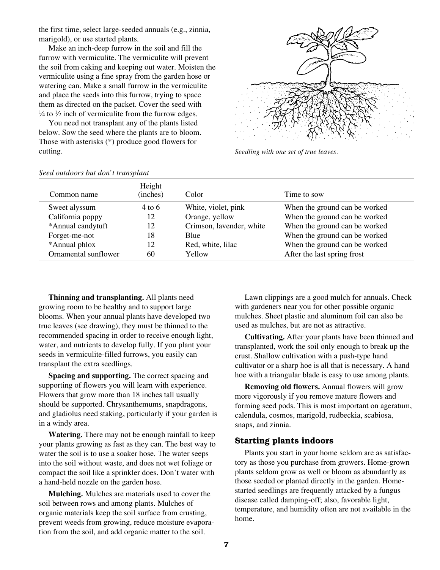the first time, select large-seeded annuals (e.g., zinnia, marigold), or use started plants.

Make an inch-deep furrow in the soil and fill the furrow with vermiculite. The vermiculite will prevent the soil from caking and keeping out water. Moisten the vermiculite using a fine spray from the garden hose or watering can. Make a small furrow in the vermiculite and place the seeds into this furrow, trying to space them as directed on the packet. Cover the seed with  $\frac{1}{4}$  to  $\frac{1}{2}$  inch of vermiculite from the furrow edges.

You need not transplant any of the plants listed below. Sow the seed where the plants are to bloom. Those with asterisks (\*) produce good flowers for cutting.



*Seedling with one set of true leaves.*

|                      | Height            |                          |                               |
|----------------------|-------------------|--------------------------|-------------------------------|
| Common name          | (inches)          | Color.                   | Time to sow                   |
| Sweet alyssum        | $4 \text{ to } 6$ | White, violet, pink      | When the ground can be worked |
| California poppy     | 12                | Orange, yellow           | When the ground can be worked |
| *Annual candytuft    | 12                | Crimson, lavender, white | When the ground can be worked |
| Forget-me-not        | 18                | Blue                     | When the ground can be worked |
| *Annual phlox        | 12                | Red, white, lilac        | When the ground can be worked |
| Ornamental sunflower | 60                | Yellow                   | After the last spring frost   |

#### *Seed outdoors but don't transplant*

**Thinning and transplanting.** All plants need growing room to be healthy and to support large blooms. When your annual plants have developed two true leaves (see drawing), they must be thinned to the recommended spacing in order to receive enough light, water, and nutrients to develop fully. If you plant your seeds in vermiculite-filled furrows, you easily can transplant the extra seedlings.

**Spacing and supporting.** The correct spacing and supporting of flowers you will learn with experience. Flowers that grow more than 18 inches tall usually should be supported. Chrysanthemums, snapdragons, and gladiolus need staking, particularly if your garden is in a windy area.

**Watering.** There may not be enough rainfall to keep your plants growing as fast as they can. The best way to water the soil is to use a soaker hose. The water seeps into the soil without waste, and does not wet foliage or compact the soil like a sprinkler does. Don't water with a hand-held nozzle on the garden hose.

**Mulching.** Mulches are materials used to cover the soil between rows and among plants. Mulches of organic materials keep the soil surface from crusting, prevent weeds from growing, reduce moisture evaporation from the soil, and add organic matter to the soil.

Lawn clippings are a good mulch for annuals. Check with gardeners near you for other possible organic mulches. Sheet plastic and aluminum foil can also be used as mulches, but are not as attractive.

**Cultivating.** After your plants have been thinned and transplanted, work the soil only enough to break up the crust. Shallow cultivation with a push-type hand cultivator or a sharp hoe is all that is necessary. A hand hoe with a triangular blade is easy to use among plants.

**Removing old flowers.** Annual flowers will grow more vigorously if you remove mature flowers and forming seed pods. This is most important on ageratum, calendula, cosmos, marigold, rudbeckia, scabiosa, snaps, and zinnia.

### **Starting plants indoors**

Plants you start in your home seldom are as satisfactory as those you purchase from growers. Home-grown plants seldom grow as well or bloom as abundantly as those seeded or planted directly in the garden. Homestarted seedlings are frequently attacked by a fungus disease called damping-off; also, favorable light, temperature, and humidity often are not available in the home.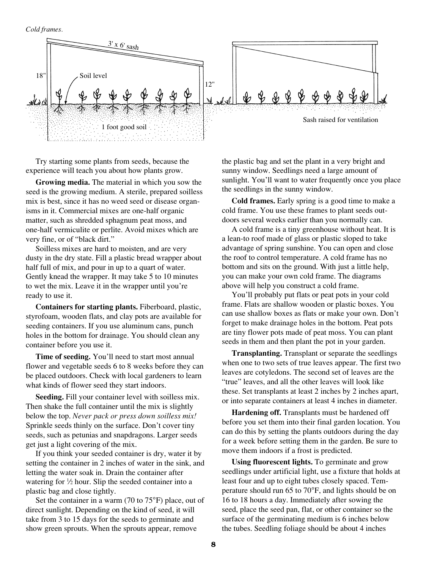*Cold frames.*



Try starting some plants from seeds, because the experience will teach you about how plants grow.

**Growing media.** The material in which you sow the seed is the growing medium. A sterile, prepared soilless mix is best, since it has no weed seed or disease organisms in it. Commercial mixes are one-half organic matter, such as shredded sphagnum peat moss, and one-half vermiculite or perlite. Avoid mixes which are very fine, or of "black dirt."

Soilless mixes are hard to moisten, and are very dusty in the dry state. Fill a plastic bread wrapper about half full of mix, and pour in up to a quart of water. Gently knead the wrapper. It may take 5 to 10 minutes to wet the mix. Leave it in the wrapper until you're ready to use it.

**Containers for starting plants.** Fiberboard, plastic, styrofoam, wooden flats, and clay pots are available for seeding containers. If you use aluminum cans, punch holes in the bottom for drainage. You should clean any container before you use it.

**Time of seeding.** You'll need to start most annual flower and vegetable seeds 6 to 8 weeks before they can be placed outdoors. Check with local gardeners to learn what kinds of flower seed they start indoors.

**Seeding.** Fill your container level with soilless mix. Then shake the full container until the mix is slightly below the top. *Never pack or press down soilless mix!* Sprinkle seeds thinly on the surface. Don't cover tiny seeds, such as petunias and snapdragons. Larger seeds get just a light covering of the mix.

If you think your seeded container is dry, water it by setting the container in 2 inches of water in the sink, and letting the water soak in. Drain the container after watering for  $\frac{1}{2}$  hour. Slip the seeded container into a plastic bag and close tightly.

Set the container in a warm (70 to 75°F) place, out of direct sunlight. Depending on the kind of seed, it will take from 3 to 15 days for the seeds to germinate and show green sprouts. When the sprouts appear, remove

the plastic bag and set the plant in a very bright and sunny window. Seedlings need a large amount of sunlight. You'll want to water frequently once you place the seedlings in the sunny window.

**Cold frames.** Early spring is a good time to make a cold frame. You use these frames to plant seeds outdoors several weeks earlier than you normally can.

A cold frame is a tiny greenhouse without heat. It is a lean-to roof made of glass or plastic sloped to take advantage of spring sunshine. You can open and close the roof to control temperature. A cold frame has no bottom and sits on the ground. With just a little help, you can make your own cold frame. The diagrams above will help you construct a cold frame.

You'll probably put flats or peat pots in your cold frame. Flats are shallow wooden or plastic boxes. You can use shallow boxes as flats or make your own. Don't forget to make drainage holes in the bottom. Peat pots are tiny flower pots made of peat moss. You can plant seeds in them and then plant the pot in your garden.

**Transplanting.** Transplant or separate the seedlings when one to two sets of true leaves appear. The first two leaves are cotyledons. The second set of leaves are the "true" leaves, and all the other leaves will look like these. Set transplants at least 2 inches by 2 inches apart, or into separate containers at least 4 inches in diameter.

**Hardening off.** Transplants must be hardened off before you set them into their final garden location. You can do this by setting the plants outdoors during the day for a week before setting them in the garden. Be sure to move them indoors if a frost is predicted.

**Using fluorescent lights.** To germinate and grow seedlings under artificial light, use a fixture that holds at least four and up to eight tubes closely spaced. Temperature should run 65 to 70°F, and lights should be on 16 to 18 hours a day. Immediately after sowing the seed, place the seed pan, flat, or other container so the surface of the germinating medium is 6 inches below the tubes. Seedling foliage should be about 4 inches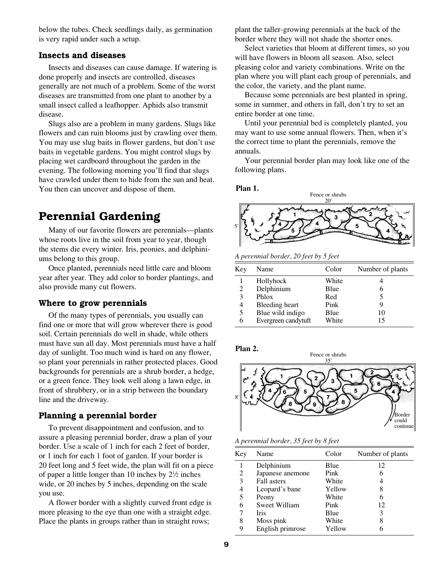below the tubes. Check seedlings daily, as germination is very rapid under such a setup.

### **Insects and diseases**

Insects and diseases can cause damage. If watering is done properly and insects are controlled, diseases generally are not much of a problem. Some of the worst diseases are transmitted from one plant to another by a small insect called a leafhopper. Aphids also transmit disease.

Slugs also are a problem in many gardens. Slugs like flowers and can ruin blooms just by crawling over them. You may use slug baits in flower gardens, but don't use baits in vegetable gardens. You might control slugs by placing wet cardboard throughout the garden in the evening. The following morning you'll find that slugs have crawled under them to hide from the sun and heat. You then can uncover and dispose of them.

### **Perennial Gardening**

Many of our favorite flowers are perennials—plants whose roots live in the soil from year to year, though the stems die every winter. Iris, peonies, and delphiniums belong to this group.

Once planted, perennials need little care and bloom year after year. They add color to border plantings, and also provide many cut flowers.

#### **Where to grow perennials**

Of the many types of perennials, you usually can find one or more that will grow wherever there is good soil. Certain perennials do well in shade, while others must have sun all day. Most perennials must have a half day of sunlight. Too much wind is hard on any flower, so plant your perennials in rather protected places. Good backgrounds for perennials are a shrub border, a hedge, or a green fence. They look well along a lawn edge, in front of shrubbery, or in a strip between the boundary line and the driveway.

### **Planning a perennial border**

To prevent disappointment and confusion, and to assure a pleasing perennial border, draw a plan of your border. Use a scale of 1 inch for each 2 feet of border, or 1 inch for each 1 foot of garden. If your border is 20 feet long and 5 feet wide, the plan will fit on a piece of paper a little longer than 10 inches by  $2\frac{1}{2}$  inches wide, or 20 inches by 5 inches, depending on the scale you use.

A flower border with a slightly curved front edge is more pleasing to the eye than one with a straight edge. Place the plants in groups rather than in straight rows;

plant the taller-growing perennials at the back of the border where they will not shade the shorter ones.

Select varieties that bloom at different times, so you will have flowers in bloom all season. Also, select pleasing color and variety combinations. Write on the plan where you will plant each group of perennials, and the color, the variety, and the plant name.

Because some perennials are best planted in spring, some in summer, and others in fall, don't try to set an entire border at one time.

Until your perennial bed is completely planted, you may want to use some annual flowers. Then, when it's the correct time to plant the perennials, remove the annuals.

Your perennial border plan may look like one of the following plans.

**Plan 1.**



*A perennial border, 20 feet by 5 feet*

| Key | Name                | Color | Number of plants |
|-----|---------------------|-------|------------------|
|     | Hollyhock           | White |                  |
| 2   | Delphinium          | Blue  | 6                |
| 3   | Phlox               | Red   |                  |
| 4   | Bleeding heart      | Pink  | Q                |
| 5   | Blue wild indigo    | Blue  | 10               |
| 6   | Evergreen candytuft | White | 15               |



*A perennial border, 35 feet by 8 feet*

| Key | Name             | Color  | Number of plants |
|-----|------------------|--------|------------------|
| 1   | Delphinium       | Blue   | 12               |
| 2   | Japanese anemone | Pink   | 6                |
| 3   | Fall asters      | White  | 4                |
| 4   | Leopard's bane   | Yellow | 8                |
| 5   | Peony            | White  | 6                |
| 6   | Sweet William    | Pink   | 12               |
|     | <b>Iris</b>      | Blue   | 3                |
| 8   | Moss pink        | White  | 8                |
| 9   | English primrose | Yellow |                  |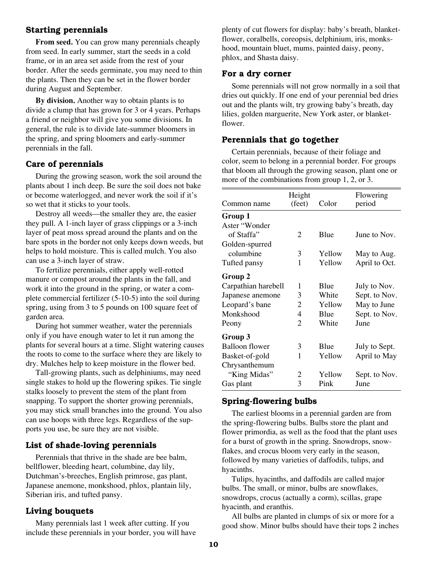### **Starting perennials**

**From seed.** You can grow many perennials cheaply from seed. In early summer, start the seeds in a cold frame, or in an area set aside from the rest of your border. After the seeds germinate, you may need to thin the plants. Then they can be set in the flower border during August and September.

**By division.** Another way to obtain plants is to divide a clump that has grown for 3 or 4 years. Perhaps a friend or neighbor will give you some divisions. In general, the rule is to divide late-summer bloomers in the spring, and spring bloomers and early-summer perennials in the fall.

### **Care of perennials**

During the growing season, work the soil around the plants about 1 inch deep. Be sure the soil does not bake or become waterlogged, and never work the soil if it's so wet that it sticks to your tools.

Destroy all weeds—the smaller they are, the easier they pull. A 1-inch layer of grass clippings or a 3-inch layer of peat moss spread around the plants and on the bare spots in the border not only keeps down weeds, but helps to hold moisture. This is called mulch. You also can use a 3-inch layer of straw.

To fertilize perennials, either apply well-rotted manure or compost around the plants in the fall, and work it into the ground in the spring, or water a complete commercial fertilizer (5-10-5) into the soil during spring, using from 3 to 5 pounds on 100 square feet of garden area.

During hot summer weather, water the perennials only if you have enough water to let it run among the plants for several hours at a time. Slight watering causes the roots to come to the surface where they are likely to dry. Mulches help to keep moisture in the flower bed.

Tall-growing plants, such as delphiniums, may need single stakes to hold up the flowering spikes. Tie single stalks loosely to prevent the stem of the plant from snapping. To support the shorter growing perennials, you may stick small branches into the ground. You also can use hoops with three legs. Regardless of the supports you use, be sure they are not visible.

### **List of shade-loving perennials**

Perennials that thrive in the shade are bee balm, bellflower, bleeding heart, columbine, day lily, Dutchman's-breeches, English primrose, gas plant, Japanese anemone, monkshood, phlox, plantain lily, Siberian iris, and tufted pansy.

### **Living bouquets**

Many perennials last 1 week after cutting. If you include these perennials in your border, you will have plenty of cut flowers for display: baby's breath, blanketflower, coralbells, coreopsis, delphinium, iris, monkshood, mountain bluet, mums, painted daisy, peony, phlox, and Shasta daisy.

### **For a dry corner**

Some perennials will not grow normally in a soil that dries out quickly. If one end of your perennial bed dries out and the plants wilt, try growing baby's breath, day lilies, golden marguerite, New York aster, or blanketflower.

### **Perennials that go together**

Certain perennials, because of their foliage and color, seem to belong in a perennial border. For groups that bloom all through the growing season, plant one or more of the combinations from group 1, 2, or 3.

| Common name         | Height<br>(feet) | Color  | Flowering<br>period |
|---------------------|------------------|--------|---------------------|
| Group 1             |                  |        |                     |
| Aster "Wonder       |                  |        |                     |
| of Staffa"          | 2                | Blue   | June to Nov.        |
| Golden-spurred      |                  |        |                     |
| columbine           | 3                | Yellow | May to Aug.         |
| Tufted pansy        | 1                | Yellow | April to Oct.       |
| Group 2             |                  |        |                     |
| Carpathian harebell | 1                | Blue   | July to Nov.        |
| Japanese anemone    | 3                | White  | Sept. to Nov.       |
| Leopard's bane      | 2                | Yellow | May to June         |
| Monkshood           | 4                | Blue   | Sept. to Nov.       |
| Peony               | 2                | White  | June                |
| Group 3             |                  |        |                     |
| Balloon flower      | 3                | Blue   | July to Sept.       |
| Basket-of-gold      | 1                | Yellow | April to May        |
| Chrysanthemum       |                  |        |                     |
| "King Midas"        | 2                | Yellow | Sept. to Nov.       |
| Gas plant           | 3                | Pink   | June                |

### **Spring-flowering bulbs**

The earliest blooms in a perennial garden are from the spring-flowering bulbs. Bulbs store the plant and flower primordia, as well as the food that the plant uses for a burst of growth in the spring. Snowdrops, snowflakes, and crocus bloom very early in the season, followed by many varieties of daffodils, tulips, and hyacinths.

Tulips, hyacinths, and daffodils are called major bulbs. The small, or minor, bulbs are snowflakes, snowdrops, crocus (actually a corm), scillas, grape hyacinth, and eranthis.

All bulbs are planted in clumps of six or more for a good show. Minor bulbs should have their tops 2 inches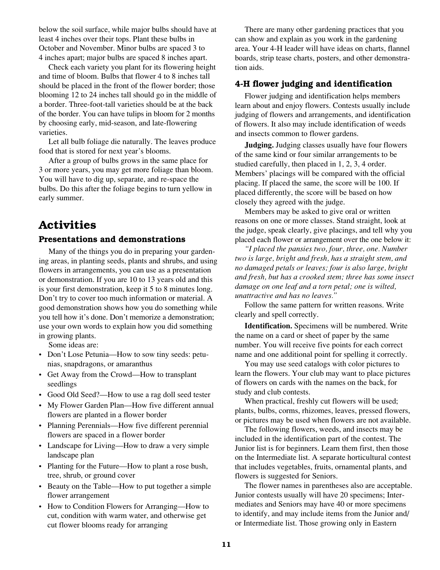below the soil surface, while major bulbs should have at least 4 inches over their tops. Plant these bulbs in October and November. Minor bulbs are spaced 3 to 4 inches apart; major bulbs are spaced 8 inches apart.

Check each variety you plant for its flowering height and time of bloom. Bulbs that flower 4 to 8 inches tall should be placed in the front of the flower border; those blooming 12 to 24 inches tall should go in the middle of a border. Three-foot-tall varieties should be at the back of the border. You can have tulips in bloom for 2 months by choosing early, mid-season, and late-flowering varieties.

Let all bulb foliage die naturally. The leaves produce food that is stored for next year's blooms.

After a group of bulbs grows in the same place for 3 or more years, you may get more foliage than bloom. You will have to dig up, separate, and re-space the bulbs. Do this after the foliage begins to turn yellow in early summer.

## **Activities**

### **Presentations and demonstrations**

Many of the things you do in preparing your gardening areas, in planting seeds, plants and shrubs, and using flowers in arrangements, you can use as a presentation or demonstration. If you are 10 to 13 years old and this is your first demonstration, keep it 5 to 8 minutes long. Don't try to cover too much information or material. A good demonstration shows how you do something while you tell how it's done. Don't memorize a demonstration; use your own words to explain how you did something in growing plants.

Some ideas are:

- Don't Lose Petunia—How to sow tiny seeds: petunias, snapdragons, or amaranthus
- Get Away from the Crowd—How to transplant seedlings
- Good Old Seed?—How to use a rag doll seed tester
- My Flower Garden Plan—How five different annual flowers are planted in a flower border
- Planning Perennials—How five different perennial flowers are spaced in a flower border
- Landscape for Living—How to draw a very simple landscape plan
- Planting for the Future—How to plant a rose bush, tree, shrub, or ground cover
- Beauty on the Table—How to put together a simple flower arrangement
- How to Condition Flowers for Arranging—How to cut, condition with warm water, and otherwise get cut flower blooms ready for arranging

There are many other gardening practices that you can show and explain as you work in the gardening area. Your 4-H leader will have ideas on charts, flannel boards, strip tease charts, posters, and other demonstration aids.

### **4-H flower judging and identification**

Flower judging and identification helps members learn about and enjoy flowers. Contests usually include judging of flowers and arrangements, and identification of flowers. It also may include identification of weeds and insects common to flower gardens.

**Judging.** Judging classes usually have four flowers of the same kind or four similar arrangements to be studied carefully, then placed in 1, 2, 3, 4 order. Members' placings will be compared with the official placing. If placed the same, the score will be 100. If placed differently, the score will be based on how closely they agreed with the judge.

Members may be asked to give oral or written reasons on one or more classes. Stand straight, look at the judge, speak clearly, give placings, and tell why you placed each flower or arrangement over the one below it:

*"I placed the pansies two, four, three, one. Number two is large, bright and fresh, has a straight stem, and no damaged petals or leaves; four is also large, bright and fresh, but has a crooked stem; three has some insect damage on one leaf and a torn petal; one is wilted, unattractive and has no leaves."*

Follow the same pattern for written reasons. Write clearly and spell correctly.

**Identification.** Specimens will be numbered. Write the name on a card or sheet of paper by the same number. You will receive five points for each correct name and one additional point for spelling it correctly.

You may use seed catalogs with color pictures to learn the flowers. Your club may want to place pictures of flowers on cards with the names on the back, for study and club contests.

When practical, freshly cut flowers will be used; plants, bulbs, corms, rhizomes, leaves, pressed flowers, or pictures may be used when flowers are not available.

The following flowers, weeds, and insects may be included in the identification part of the contest. The Junior list is for beginners. Learn them first, then those on the Intermediate list. A separate horticultural contest that includes vegetables, fruits, ornamental plants, and flowers is suggested for Seniors.

The flower names in parentheses also are acceptable. Junior contests usually will have 20 specimens; Intermediates and Seniors may have 40 or more specimens to identify, and may include items from the Junior and/ or Intermediate list. Those growing only in Eastern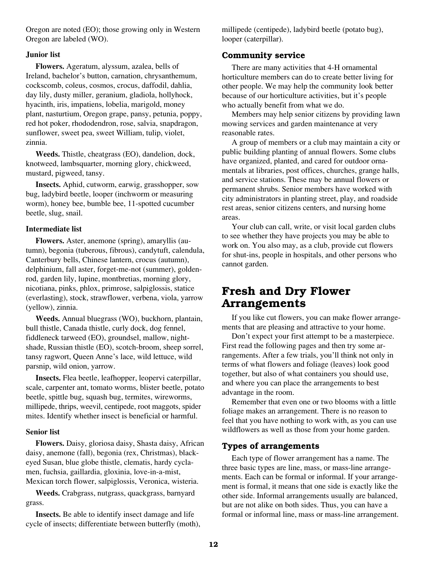Oregon are noted (EO); those growing only in Western Oregon are labeled (WO).

### **Junior list**

**Flowers.** Ageratum, alyssum, azalea, bells of Ireland, bachelor's button, carnation, chrysanthemum, cockscomb, coleus, cosmos, crocus, daffodil, dahlia, day lily, dusty miller, geranium, gladiola, hollyhock, hyacinth, iris, impatiens, lobelia, marigold, money plant, nasturtium, Oregon grape, pansy, petunia, poppy, red hot poker, rhododendron, rose, salvia, snapdragon, sunflower, sweet pea, sweet William, tulip, violet, zinnia.

**Weeds.** Thistle, cheatgrass (EO), dandelion, dock, knotweed, lambsquarter, morning glory, chickweed, mustard, pigweed, tansy.

**Insects.** Aphid, cutworm, earwig, grasshopper, sow bug, ladybird beetle, looper (inchworm or measuring worm), honey bee, bumble bee, 11-spotted cucumber beetle, slug, snail.

#### **Intermediate list**

**Flowers.** Aster, anemone (spring), amaryllis (autumn), begonia (tuberous, fibrous), candytuft, calendula, Canterbury bells, Chinese lantern, crocus (autumn), delphinium, fall aster, forget-me-not (summer), goldenrod, garden lily, lupine, montbretias, morning glory, nicotiana, pinks, phlox, primrose, salpiglossis, statice (everlasting), stock, strawflower, verbena, viola, yarrow (yellow), zinnia.

**Weeds.** Annual bluegrass (WO), buckhorn, plantain, bull thistle, Canada thistle, curly dock, dog fennel, fiddleneck tarweed (EO), groundsel, mallow, nightshade, Russian thistle (EO), scotch-broom, sheep sorrel, tansy ragwort, Queen Anne's lace, wild lettuce, wild parsnip, wild onion, yarrow.

**Insects.** Flea beetle, leafhopper, leopervi caterpillar, scale, carpenter ant, tomato worms, blister beetle, potato beetle, spittle bug, squash bug, termites, wireworms, millipede, thrips, weevil, centipede, root maggots, spider mites. Identify whether insect is beneficial or harmful.

### **Senior list**

**Flowers.** Daisy, gloriosa daisy, Shasta daisy, African daisy, anemone (fall), begonia (rex, Christmas), blackeyed Susan, blue globe thistle, clematis, hardy cyclamen, fuchsia, gaillardia, gloxinia, love-in-a-mist, Mexican torch flower, salpiglossis, Veronica, wisteria.

**Weeds.** Crabgrass, nutgrass, quackgrass, barnyard grass.

**Insects.** Be able to identify insect damage and life cycle of insects; differentiate between butterfly (moth), millipede (centipede), ladybird beetle (potato bug), looper (caterpillar).

### **Community service**

There are many activities that 4-H ornamental horticulture members can do to create better living for other people. We may help the community look better because of our horticulture activities, but it's people who actually benefit from what we do.

Members may help senior citizens by providing lawn mowing services and garden maintenance at very reasonable rates.

A group of members or a club may maintain a city or public building planting of annual flowers. Some clubs have organized, planted, and cared for outdoor ornamentals at libraries, post offices, churches, grange halls, and service stations. These may be annual flowers or permanent shrubs. Senior members have worked with city administrators in planting street, play, and roadside rest areas, senior citizens centers, and nursing home areas.

Your club can call, write, or visit local garden clubs to see whether they have projects you may be able to work on. You also may, as a club, provide cut flowers for shut-ins, people in hospitals, and other persons who cannot garden.

### **Fresh and Dry Flower Arrangements**

If you like cut flowers, you can make flower arrangements that are pleasing and attractive to your home.

Don't expect your first attempt to be a masterpiece. First read the following pages and then try some arrangements. After a few trials, you'll think not only in terms of what flowers and foliage (leaves) look good together, but also of what containers you should use, and where you can place the arrangements to best advantage in the room.

Remember that even one or two blooms with a little foliage makes an arrangement. There is no reason to feel that you have nothing to work with, as you can use wildflowers as well as those from your home garden.

### **Types of arrangements**

Each type of flower arrangement has a name. The three basic types are line, mass, or mass-line arrangements. Each can be formal or informal. If your arrangement is formal, it means that one side is exactly like the other side. Informal arrangements usually are balanced, but are not alike on both sides. Thus, you can have a formal or informal line, mass or mass-line arrangement.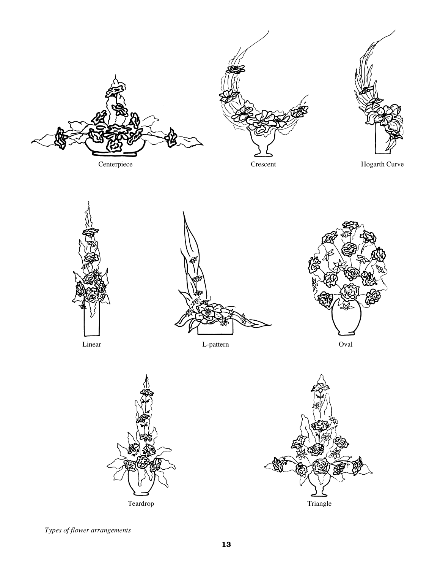











*Types of flower arrangements*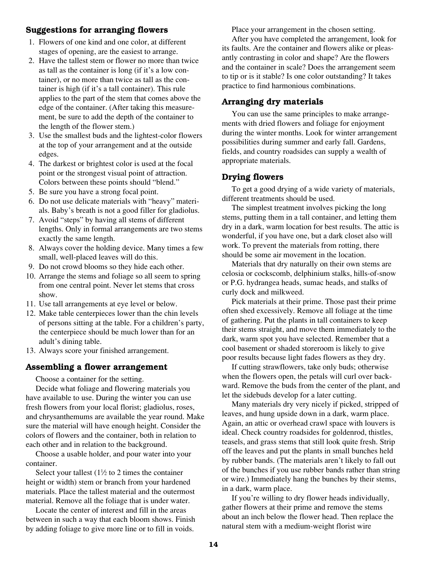### **Suggestions for arranging flowers**

- 1. Flowers of one kind and one color, at different stages of opening, are the easiest to arrange.
- 2. Have the tallest stem or flower no more than twice as tall as the container is long (if it's a low container), or no more than twice as tall as the container is high (if it's a tall container). This rule applies to the part of the stem that comes above the edge of the container. (After taking this measurement, be sure to add the depth of the container to the length of the flower stem.)
- 3. Use the smallest buds and the lightest-color flowers at the top of your arrangement and at the outside edges.
- 4. The darkest or brightest color is used at the focal point or the strongest visual point of attraction. Colors between these points should "blend."
- 5. Be sure you have a strong focal point.
- 6. Do not use delicate materials with "heavy" materials. Baby's breath is not a good filler for gladiolus.
- 7. Avoid "steps" by having all stems of different lengths. Only in formal arrangements are two stems exactly the same length.
- 8. Always cover the holding device. Many times a few small, well-placed leaves will do this.
- 9. Do not crowd blooms so they hide each other.
- 10. Arrange the stems and foliage so all seem to spring from one central point. Never let stems that cross show.
- 11. Use tall arrangements at eye level or below.
- 12. Make table centerpieces lower than the chin levels of persons sitting at the table. For a children's party, the centerpiece should be much lower than for an adult's dining table.
- 13. Always score your finished arrangement.

### **Assembling a flower arrangement**

Choose a container for the setting.

Decide what foliage and flowering materials you have available to use. During the winter you can use fresh flowers from your local florist; gladiolus, roses, and chrysanthemums are available the year round. Make sure the material will have enough height. Consider the colors of flowers and the container, both in relation to each other and in relation to the background.

Choose a usable holder, and pour water into your container.

Select your tallest  $(1\frac{1}{2})$  to 2 times the container height or width) stem or branch from your hardened materials. Place the tallest material and the outermost material. Remove all the foliage that is under water.

Locate the center of interest and fill in the areas between in such a way that each bloom shows. Finish by adding foliage to give more line or to fill in voids.

Place your arrangement in the chosen setting.

After you have completed the arrangement, look for its faults. Are the container and flowers alike or pleasantly contrasting in color and shape? Are the flowers and the container in scale? Does the arrangement seem to tip or is it stable? Is one color outstanding? It takes practice to find harmonious combinations.

### **Arranging dry materials**

You can use the same principles to make arrangements with dried flowers and foliage for enjoyment during the winter months. Look for winter arrangement possibilities during summer and early fall. Gardens, fields, and country roadsides can supply a wealth of appropriate materials.

### **Drying flowers**

To get a good drying of a wide variety of materials, different treatments should be used.

The simplest treatment involves picking the long stems, putting them in a tall container, and letting them dry in a dark, warm location for best results. The attic is wonderful, if you have one, but a dark closet also will work. To prevent the materials from rotting, there should be some air movement in the location.

Materials that dry naturally on their own stems are celosia or cockscomb, delphinium stalks, hills-of-snow or P.G. hydrangea heads, sumac heads, and stalks of curly dock and milkweed.

Pick materials at their prime. Those past their prime often shed excessively. Remove all foliage at the time of gathering. Put the plants in tall containers to keep their stems straight, and move them immediately to the dark, warm spot you have selected. Remember that a cool basement or shaded storeroom is likely to give poor results because light fades flowers as they dry.

If cutting strawflowers, take only buds; otherwise when the flowers open, the petals will curl over backward. Remove the buds from the center of the plant, and let the sidebuds develop for a later cutting.

Many materials dry very nicely if picked, stripped of leaves, and hung upside down in a dark, warm place. Again, an attic or overhead crawl space with louvers is ideal. Check country roadsides for goldenrod, thistles, teasels, and grass stems that still look quite fresh. Strip off the leaves and put the plants in small bunches held by rubber bands. (The materials aren't likely to fall out of the bunches if you use rubber bands rather than string or wire.) Immediately hang the bunches by their stems, in a dark, warm place.

If you're willing to dry flower heads individually, gather flowers at their prime and remove the stems about an inch below the flower head. Then replace the natural stem with a medium-weight florist wire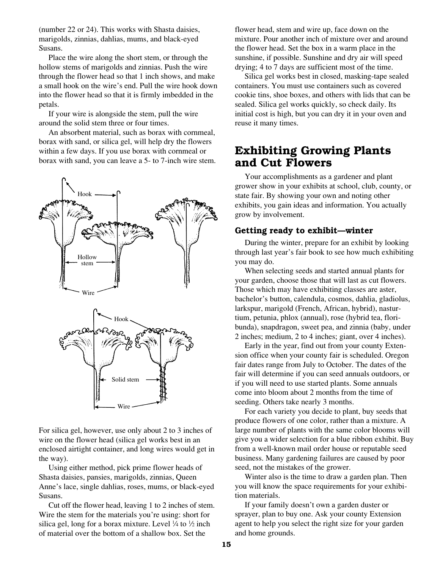(number 22 or 24). This works with Shasta daisies, marigolds, zinnias, dahlias, mums, and black-eyed Susans.

Place the wire along the short stem, or through the hollow stems of marigolds and zinnias. Push the wire through the flower head so that 1 inch shows, and make a small hook on the wire's end. Pull the wire hook down into the flower head so that it is firmly imbedded in the petals.

If your wire is alongside the stem, pull the wire around the solid stem three or four times.

An absorbent material, such as borax with cornmeal, borax with sand, or silica gel, will help dry the flowers within a few days. If you use borax with cornmeal or borax with sand, you can leave a 5- to 7-inch wire stem.



For silica gel, however, use only about 2 to 3 inches of wire on the flower head (silica gel works best in an enclosed airtight container, and long wires would get in the way).

Using either method, pick prime flower heads of Shasta daisies, pansies, marigolds, zinnias, Queen Anne's lace, single dahlias, roses, mums, or black-eyed Susans.

Cut off the flower head, leaving 1 to 2 inches of stem. Wire the stem for the materials you're using: short for silica gel, long for a borax mixture. Level  $\frac{1}{4}$  to  $\frac{1}{2}$  inch of material over the bottom of a shallow box. Set the

flower head, stem and wire up, face down on the mixture. Pour another inch of mixture over and around the flower head. Set the box in a warm place in the sunshine, if possible. Sunshine and dry air will speed drying; 4 to 7 days are sufficient most of the time.

Silica gel works best in closed, masking-tape sealed containers. You must use containers such as covered cookie tins, shoe boxes, and others with lids that can be sealed. Silica gel works quickly, so check daily. Its initial cost is high, but you can dry it in your oven and reuse it many times.

### **Exhibiting Growing Plants and Cut Flowers**

Your accomplishments as a gardener and plant grower show in your exhibits at school, club, county, or state fair. By showing your own and noting other exhibits, you gain ideas and information. You actually grow by involvement.

### **Getting ready to exhibit—winter**

During the winter, prepare for an exhibit by looking through last year's fair book to see how much exhibiting you may do.

When selecting seeds and started annual plants for your garden, choose those that will last as cut flowers. Those which may have exhibiting classes are aster, bachelor's button, calendula, cosmos, dahlia, gladiolus, larkspur, marigold (French, African, hybrid), nasturtium, petunia, phlox (annual), rose (hybrid tea, floribunda), snapdragon, sweet pea, and zinnia (baby, under 2 inches; medium, 2 to 4 inches; giant, over 4 inches).

Early in the year, find out from your county Extension office when your county fair is scheduled. Oregon fair dates range from July to October. The dates of the fair will determine if you can seed annuals outdoors, or if you will need to use started plants. Some annuals come into bloom about 2 months from the time of seeding. Others take nearly 3 months.

For each variety you decide to plant, buy seeds that produce flowers of one color, rather than a mixture. A large number of plants with the same color blooms will give you a wider selection for a blue ribbon exhibit. Buy from a well-known mail order house or reputable seed business. Many gardening failures are caused by poor seed, not the mistakes of the grower.

Winter also is the time to draw a garden plan. Then you will know the space requirements for your exhibition materials.

If your family doesn't own a garden duster or sprayer, plan to buy one. Ask your county Extension agent to help you select the right size for your garden and home grounds.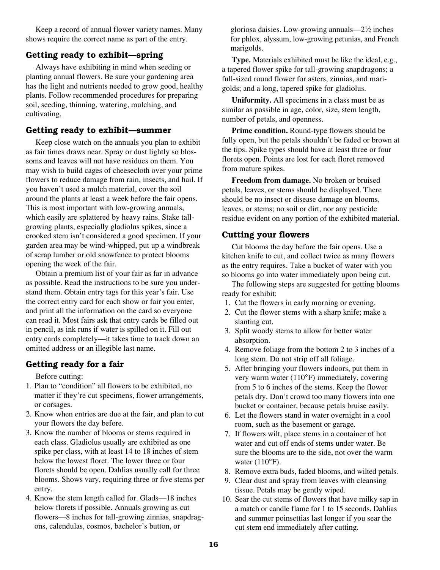Keep a record of annual flower variety names. Many shows require the correct name as part of the entry.

### **Getting ready to exhibit—spring**

Always have exhibiting in mind when seeding or planting annual flowers. Be sure your gardening area has the light and nutrients needed to grow good, healthy plants. Follow recommended procedures for preparing soil, seeding, thinning, watering, mulching, and cultivating.

### **Getting ready to exhibit—summer**

Keep close watch on the annuals you plan to exhibit as fair times draws near. Spray or dust lightly so blossoms and leaves will not have residues on them. You may wish to build cages of cheesecloth over your prime flowers to reduce damage from rain, insects, and hail. If you haven't used a mulch material, cover the soil around the plants at least a week before the fair opens. This is most important with low-growing annuals, which easily are splattered by heavy rains. Stake tallgrowing plants, especially gladiolus spikes, since a crooked stem isn't considered a good specimen. If your garden area may be wind-whipped, put up a windbreak of scrap lumber or old snowfence to protect blooms opening the week of the fair.

Obtain a premium list of your fair as far in advance as possible. Read the instructions to be sure you understand them. Obtain entry tags for this year's fair. Use the correct entry card for each show or fair you enter, and print all the information on the card so everyone can read it. Most fairs ask that entry cards be filled out in pencil, as ink runs if water is spilled on it. Fill out entry cards completely—it takes time to track down an omitted address or an illegible last name.

### **Getting ready for a fair**

Before cutting:

- 1. Plan to "condition" all flowers to be exhibited, no matter if they're cut specimens, flower arrangements, or corsages.
- 2. Know when entries are due at the fair, and plan to cut your flowers the day before.
- 3. Know the number of blooms or stems required in each class. Gladiolus usually are exhibited as one spike per class, with at least 14 to 18 inches of stem below the lowest floret. The lower three or four florets should be open. Dahlias usually call for three blooms. Shows vary, requiring three or five stems per entry.
- 4. Know the stem length called for. Glads—18 inches below florets if possible. Annuals growing as cut flowers—8 inches for tall-growing zinnias, snapdragons, calendulas, cosmos, bachelor's button, or

gloriosa daisies. Low-growing annuals—21 ⁄2 inches for phlox, alyssum, low-growing petunias, and French marigolds.

**Type.** Materials exhibited must be like the ideal, e.g., a tapered flower spike for tall-growing snapdragons; a full-sized round flower for asters, zinnias, and marigolds; and a long, tapered spike for gladiolus.

**Uniformity.** All specimens in a class must be as similar as possible in age, color, size, stem length, number of petals, and openness.

**Prime condition.** Round-type flowers should be fully open, but the petals shouldn't be faded or brown at the tips. Spike types should have at least three or four florets open. Points are lost for each floret removed from mature spikes.

**Freedom from damage.** No broken or bruised petals, leaves, or stems should be displayed. There should be no insect or disease damage on blooms, leaves, or stems; no soil or dirt, nor any pesticide residue evident on any portion of the exhibited material.

### **Cutting your flowers**

Cut blooms the day before the fair opens. Use a kitchen knife to cut, and collect twice as many flowers as the entry requires. Take a bucket of water with you so blooms go into water immediately upon being cut.

The following steps are suggested for getting blooms ready for exhibit:

- 1. Cut the flowers in early morning or evening.
- 2. Cut the flower stems with a sharp knife; make a slanting cut.
- 3. Split woody stems to allow for better water absorption.
- 4. Remove foliage from the bottom 2 to 3 inches of a long stem. Do not strip off all foliage.
- 5. After bringing your flowers indoors, put them in very warm water (110°F) immediately, covering from 5 to 6 inches of the stems. Keep the flower petals dry. Don't crowd too many flowers into one bucket or container, because petals bruise easily.
- 6. Let the flowers stand in water overnight in a cool room, such as the basement or garage.
- 7. If flowers wilt, place stems in a container of hot water and cut off ends of stems under water. Be sure the blooms are to the side, not over the warm water  $(110^{\circ}F)$ .
- 8. Remove extra buds, faded blooms, and wilted petals.
- 9. Clear dust and spray from leaves with cleansing tissue. Petals may be gently wiped.
- 10. Sear the cut stems of flowers that have milky sap in a match or candle flame for 1 to 15 seconds. Dahlias and summer poinsettias last longer if you sear the cut stem end immediately after cutting.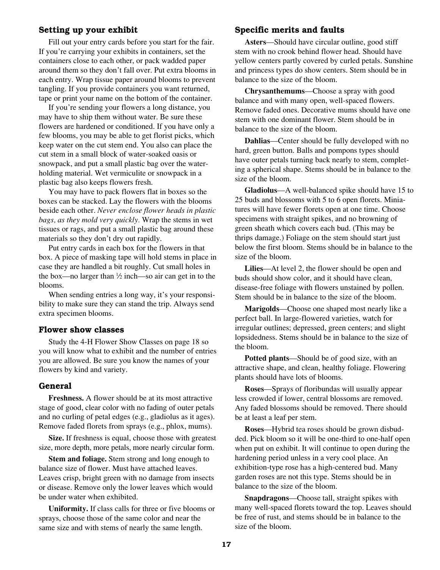### **Setting up your exhibit**

Fill out your entry cards before you start for the fair. If you're carrying your exhibits in containers, set the containers close to each other, or pack wadded paper around them so they don't fall over. Put extra blooms in each entry. Wrap tissue paper around blooms to prevent tangling. If you provide containers you want returned, tape or print your name on the bottom of the container.

If you're sending your flowers a long distance, you may have to ship them without water. Be sure these flowers are hardened or conditioned. If you have only a few blooms, you may be able to get florist picks, which keep water on the cut stem end. You also can place the cut stem in a small block of water-soaked oasis or snowpack, and put a small plastic bag over the waterholding material. Wet vermiculite or snowpack in a plastic bag also keeps flowers fresh.

You may have to pack flowers flat in boxes so the boxes can be stacked. Lay the flowers with the blooms beside each other. *Never enclose flower heads in plastic bags, as they mold very quickly.* Wrap the stems in wet tissues or rags, and put a small plastic bag around these materials so they don't dry out rapidly.

Put entry cards in each box for the flowers in that box. A piece of masking tape will hold stems in place in case they are handled a bit roughly. Cut small holes in the box—no larger than  $\frac{1}{2}$  inch—so air can get in to the blooms.

When sending entries a long way, it's your responsibility to make sure they can stand the trip. Always send extra specimen blooms.

### **Flower show classes**

Study the 4-H Flower Show Classes on page 18 so you will know what to exhibit and the number of entries you are allowed. Be sure you know the names of your flowers by kind and variety.

### **General**

**Freshness.** A flower should be at its most attractive stage of good, clear color with no fading of outer petals and no curling of petal edges (e.g., gladiolus as it ages). Remove faded florets from sprays (e.g., phlox, mums).

**Size.** If freshness is equal, choose those with greatest size, more depth, more petals, more nearly circular form.

**Stem and foliage.** Stem strong and long enough to balance size of flower. Must have attached leaves. Leaves crisp, bright green with no damage from insects or disease. Remove only the lower leaves which would be under water when exhibited.

**Uniformity.** If class calls for three or five blooms or sprays, choose those of the same color and near the same size and with stems of nearly the same length.

### **Specific merits and faults**

**Asters**—Should have circular outline, good stiff stem with no crook behind flower head. Should have yellow centers partly covered by curled petals. Sunshine and princess types do show centers. Stem should be in balance to the size of the bloom.

**Chrysanthemums**—Choose a spray with good balance and with many open, well-spaced flowers. Remove faded ones. Decorative mums should have one stem with one dominant flower. Stem should be in balance to the size of the bloom.

**Dahlias**—Center should be fully developed with no hard, green button. Balls and pompons types should have outer petals turning back nearly to stem, completing a spherical shape. Stems should be in balance to the size of the bloom.

**Gladiolus**—A well-balanced spike should have 15 to 25 buds and blossoms with 5 to 6 open florets. Miniatures will have fewer florets open at one time. Choose specimens with straight spikes, and no browning of green sheath which covers each bud. (This may be thrips damage.) Foliage on the stem should start just below the first bloom. Stems should be in balance to the size of the bloom.

**Lilies**—At level 2, the flower should be open and buds should show color, and it should have clean, disease-free foliage with flowers unstained by pollen. Stem should be in balance to the size of the bloom.

**Marigolds**—Choose one shaped most nearly like a perfect ball. In large-flowered varieties, watch for irregular outlines; depressed, green centers; and slight lopsidedness. Stems should be in balance to the size of the bloom.

**Potted plants**—Should be of good size, with an attractive shape, and clean, healthy foliage. Flowering plants should have lots of blooms.

**Roses**—Sprays of floribundas will usually appear less crowded if lower, central blossoms are removed. Any faded blossoms should be removed. There should be at least a leaf per stem.

**Roses**—Hybrid tea roses should be grown disbudded. Pick bloom so it will be one-third to one-half open when put on exhibit. It will continue to open during the hardening period unless in a very cool place. An exhibition-type rose has a high-centered bud. Many garden roses are not this type. Stems should be in balance to the size of the bloom.

**Snapdragons**—Choose tall, straight spikes with many well-spaced florets toward the top. Leaves should be free of rust, and stems should be in balance to the size of the bloom.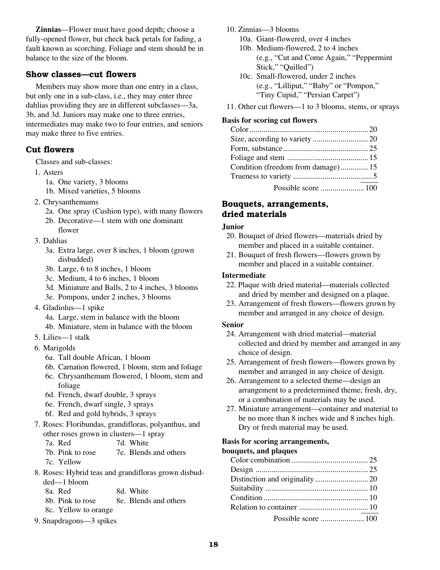**Zinnias**—Flower must have good depth; choose a fully-opened flower, but check back petals for fading, a fault known as scorching. Foliage and stem should be in balance to the size of the bloom.

### **Show classes—cut flowers**

Members may show more than one entry in a class, but only one in a sub-class, i.e., they may enter three dahlias providing they are in different subclasses—3a, 3b, and 3d. Juniors may make one to three entries, intermediates may make two to four entries, and seniors may make three to five entries.

### **Cut flowers**

Classes and sub-classes:

- 1. Asters
	- 1a. One variety, 3 blooms
	- 1b. Mixed varieties, 5 blooms
- 2. Chrysanthemums
	- 2a. One spray (Cushion type), with many flowers
	- 2b. Decorative—1 stem with one dominant flower
- 3. Dahlias
	- 3a. Extra large, over 8 inches, 1 bloom (grown disbudded)
	- 3b. Large, 6 to 8 inches, 1 bloom
	- 3c. Medium, 4 to 6 inches, 1 bloom
	- 3d. Miniature and Balls, 2 to 4 inches, 3 blooms
	- 3e. Pompons, under 2 inches, 3 blooms
- 4. Gladiolus—1 spike
	- 4a. Large, stem in balance with the bloom
	- 4b. Miniature, stem in balance with the bloom
- 5. Lilies—1 stalk
- 6. Marigolds
	- 6a. Tall double African, 1 bloom
	- 6b. Carnation flowered, 1 bloom, stem and foliage
	- 6c. Chrysanthemum flowered, 1 bloom, stem and foliage
	- 6d. French, dwarf double, 3 sprays
	- 6e. French, dwarf single, 3 sprays
	- 6f. Red and gold hybrids, 3 sprays
- 7. Roses: Floribundas, grandifloras, polyanthus, and other roses grown in clusters—1 spray
	- 7a. Red 7d. White
	- 7b. Pink to rose 7e. Blends and others 7c. Yellow
- 8. Roses: Hybrid teas and grandifloras grown disbudded—1 bloom
	- 8a. Red 8d. White 8b. Pink to rose 8e. Blends and others 8c. Yellow to orange
- 9. Snapdragons—3 spikes

10. Zinnias—3 blooms

10a. Giant-flowered, over 4 inches 10b. Medium-flowered, 2 to 4 inches

- (e.g., "Cut and Come Again," "Peppermint Stick," "Quilled")
- 10c. Small-flowered, under 2 inches (e.g., "Lilliput," "Baby" or "Pompon," "Tiny Cupid," "Persian Carpet")
- 11. Other cut flowers—1 to 3 blooms, stems, or sprays

### **Basis for scoring cut flowers**

| Condition (freedom from damage) 15 |  |
|------------------------------------|--|
|                                    |  |
|                                    |  |

### **Bouquets, arrangements, dried materials**

### **Junior**

- 20. Bouquet of dried flowers—materials dried by member and placed in a suitable container.
- 21. Bouquet of fresh flowers—flowers grown by member and placed in a suitable container.

### **Intermediate**

- 22. Plaque with dried material—materials collected and dried by member and designed on a plaque.
- 23. Arrangement of fresh flowers—flowers grown by member and arranged in any choice of design.

### **Senior**

- 24. Arrangement with dried material—material collected and dried by member and arranged in any choice of design.
- 25. Arrangement of fresh flowers—flowers grown by member and arranged in any choice of design.
- 26. Arrangement to a selected theme—design an arrangement to a predetermined theme; fresh, dry, or a combination of materials may be used.
- 27. Miniature arrangement—container and material to be no more than 8 inches wide and 8 inches high. Dry or fresh material may be used.

### **Basis for scoring arrangements,**

### **bouquets, and plaques**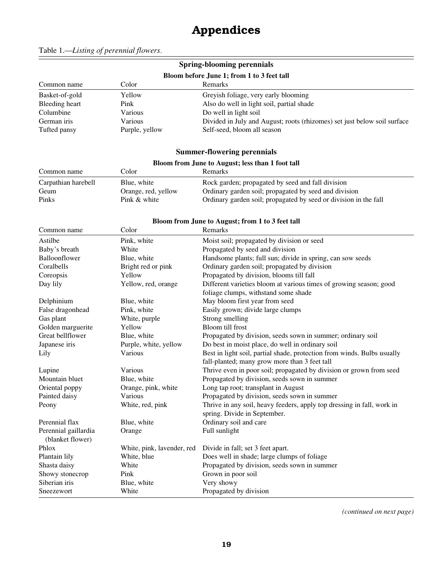# **Appendices**

|                                            |                | Spring-blooming perennials                                               |  |
|--------------------------------------------|----------------|--------------------------------------------------------------------------|--|
| Bloom before June 1; from 1 to 3 feet tall |                |                                                                          |  |
| Color<br>Remarks<br>Common name            |                |                                                                          |  |
| Basket-of-gold                             | Yellow         | Greyish foliage, very early blooming                                     |  |
| Bleeding heart                             | Pink           | Also do well in light soil, partial shade                                |  |
| Columbine                                  | Various        | Do well in light soil                                                    |  |
| German iris                                | Various        | Divided in July and August; roots (rhizomes) set just below soil surface |  |
| Tufted pansy                               | Purple, yellow | Self-seed, bloom all season                                              |  |

### **Summer-flowering perennials**

### **Bloom from June to August; less than 1 foot tall**

| Common name         | Color               | <b>Remarks</b>                                                   |
|---------------------|---------------------|------------------------------------------------------------------|
| Carpathian harebell | Blue, white         | Rock garden; propagated by seed and fall division                |
| Geum                | Orange, red, yellow | Ordinary garden soil; propagated by seed and division            |
| Pinks               | Pink & white        | Ordinary garden soil; propagated by seed or division in the fall |

#### **Bloom from June to August; from 1 to 3 feet tall**

| Common name                              | Color                      | Remarks                                                                 |
|------------------------------------------|----------------------------|-------------------------------------------------------------------------|
| Astilbe                                  | Pink, white                | Moist soil; propagated by division or seed                              |
| Baby's breath                            | White                      | Propagated by seed and division                                         |
| Balloonflower                            | Blue, white                | Handsome plants; full sun; divide in spring, can sow seeds              |
| Coralbells                               | Bright red or pink         | Ordinary garden soil; propagated by division                            |
| Coreopsis                                | Yellow                     | Propagated by division, blooms till fall                                |
| Day lily                                 | Yellow, red, orange        | Different varieties bloom at various times of growing season; good      |
|                                          |                            | foliage clumps, withstand some shade                                    |
| Delphinium                               | Blue, white                | May bloom first year from seed                                          |
| False dragonhead                         | Pink, white                | Easily grown; divide large clumps                                       |
| Gas plant                                | White, purple              | Strong smelling                                                         |
| Golden marguerite                        | Yellow                     | Bloom till frost                                                        |
| Great bellflower                         | Blue, white                | Propagated by division, seeds sown in summer; ordinary soil             |
| Japanese iris                            | Purple, white, yellow      | Do best in moist place, do well in ordinary soil                        |
| Lily                                     | Various                    | Best in light soil, partial shade, protection from winds. Bulbs usually |
|                                          |                            | fall-planted; many grow more than 3 feet tall                           |
| Lupine                                   | Various                    | Thrive even in poor soil; propagated by division or grown from seed     |
| Mountain bluet                           | Blue, white                | Propagated by division, seeds sown in summer                            |
| Oriental poppy                           | Orange, pink, white        | Long tap root; transplant in August                                     |
| Painted daisy                            | Various                    | Propagated by division, seeds sown in summer                            |
| Peony                                    | White, red, pink           | Thrive in any soil, heavy feeders, apply top dressing in fall, work in  |
|                                          |                            | spring. Divide in September.                                            |
| Perennial flax                           | Blue, white                | Ordinary soil and care                                                  |
| Perennial gaillardia<br>(blanket flower) | Orange                     | Full sunlight                                                           |
| Phlox                                    | White, pink, lavender, red | Divide in fall; set 3 feet apart.                                       |
| Plantain lily                            | White, blue                | Does well in shade; large clumps of foliage                             |
| Shasta daisy                             | White                      | Propagated by division, seeds sown in summer                            |
| Showy stonecrop                          | Pink                       | Grown in poor soil                                                      |
| Siberian iris                            | Blue, white                | Very showy                                                              |
| Sneezewort                               | White                      | Propagated by division                                                  |

*(continued on next page)*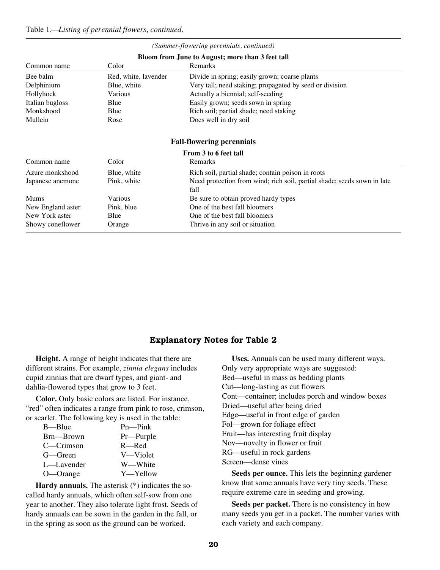|                   |                      | Bloom from June to August; more than 3 feet tall                        |
|-------------------|----------------------|-------------------------------------------------------------------------|
| Common name       | Color                | <b>Remarks</b>                                                          |
| Bee balm          | Red, white, lavender | Divide in spring; easily grown; coarse plants                           |
| Delphinium        | Blue, white          | Very tall; need staking; propagated by seed or division                 |
| Hollyhock         | Various              | Actually a biennial; self-seeding                                       |
| Italian bugloss   | Blue                 | Easily grown; seeds sown in spring                                      |
| Monkshood         | Blue                 | Rich soil; partial shade; need staking                                  |
| Mullein           | Rose                 | Does well in dry soil                                                   |
|                   |                      |                                                                         |
|                   |                      | <b>Fall-flowering perennials</b>                                        |
|                   |                      | From 3 to 6 feet tall                                                   |
| Common name       | Color                | Remarks                                                                 |
| Azure monkshood   | Blue, white          | Rich soil, partial shade; contain poison in roots                       |
| Japanese anemone  | Pink, white          | Need protection from wind; rich soil, partial shade; seeds sown in late |
|                   |                      | fall                                                                    |
| <b>Mums</b>       | Various              | Be sure to obtain proved hardy types                                    |
| New England aster | Pink, blue           | One of the best fall bloomers                                           |
| New York aster    | Blue                 | One of the best fall bloomers                                           |

#### *(Summer-flowering perennials, continued)*

### **Explanatory Notes for Table 2**

**Height.** A range of height indicates that there are different strains. For example, *zinnia elegans* includes cupid zinnias that are dwarf types, and giant- and dahlia-flowered types that grow to 3 feet.

Showy coneflower Orange Thrive in any soil or situation

**Color.** Only basic colors are listed. For instance, "red" often indicates a range from pink to rose, crimson, or scarlet. The following key is used in the table:

| B—Blue     | $Pn$ — $Pink$ |
|------------|---------------|
| Brn—Brown  | Pr—Purple     |
| C—Crimson  | $R$ —Red      |
| G—Green    | V—Violet      |
| L—Lavender | W-White       |
| O—Orange   | Y—Yellow      |

**Hardy annuals.** The asterisk (\*) indicates the socalled hardy annuals, which often self-sow from one year to another. They also tolerate light frost. Seeds of hardy annuals can be sown in the garden in the fall, or in the spring as soon as the ground can be worked.

**Uses.** Annuals can be used many different ways. Only very appropriate ways are suggested: Bed—useful in mass as bedding plants Cut—long-lasting as cut flowers Cont—container; includes porch and window boxes Dried—useful after being dried Edge—useful in front edge of garden Fol—grown for foliage effect Fruit—has interesting fruit display Nov—novelty in flower or fruit RG—useful in rock gardens Screen—dense vines

**Seeds per ounce.** This lets the beginning gardener know that some annuals have very tiny seeds. These require extreme care in seeding and growing.

**Seeds per packet.** There is no consistency in how many seeds you get in a packet. The number varies with each variety and each company.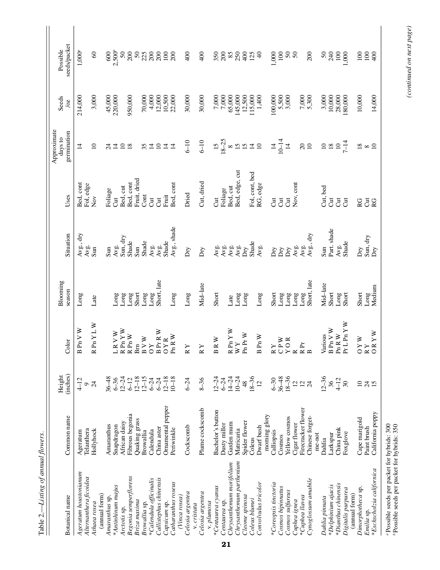| <b>Botanical</b> name                                   | Common name        | (inches)<br>Height | Color                                                                                                                             | Blooming<br>season | Situation           | Uses                  | Approximate<br>germination<br>days to | Seeds<br>$\overline{a}$ | seeds/packet<br>Possible |
|---------------------------------------------------------|--------------------|--------------------|-----------------------------------------------------------------------------------------------------------------------------------|--------------------|---------------------|-----------------------|---------------------------------------|-------------------------|--------------------------|
|                                                         |                    |                    |                                                                                                                                   |                    |                     |                       |                                       |                         |                          |
| Ageratum houstonianum                                   | Ageratum           | $4-12$             | Pn $V$ $W$<br>$\overline{a}$                                                                                                      | Long               | Avg., dry           | Bed, cont             | $\overline{4}$                        | 214,000                 | $1,000^a$                |
| Alternanthera ficoidea                                  | Telanthera         | $\circ$            |                                                                                                                                   |                    | Avg.                | Fol, edge             |                                       |                         |                          |
| Athaea rosea                                            | Hollyhock          | $\overline{z}$     | PnYLW<br>$\overline{\mathbf{z}}$                                                                                                  | Late               | Sun                 | $\sum_{i=1}^{\infty}$ | $\overline{0}$                        | 3,000                   | $\mathcal{S}$            |
| (annual form)<br>Amaranthus sp.                         | Amaranthus         | $36 - 48$          |                                                                                                                                   |                    | $\sin$              | Foliage               | र्य                                   | 45,000                  | 600                      |
|                                                         |                    |                    |                                                                                                                                   |                    |                     |                       |                                       |                         |                          |
| *Antinhinum majus                                       | Snapdragon         | $6 - 36$           | $R V W$<br>Pn $Y W$<br>コ                                                                                                          | Long               | Avg.                | J                     | $\overline{4}$                        | 220,000                 | $2,500^b$                |
| Arctotis sp.                                            | African daisy      | $12 - 24$          | $\overline{\mathbf{z}}$                                                                                                           | Long               | Sun, dry            | Bed, cut              | $\overline{0}$                        |                         | 50                       |
| Begonia semperflorens                                   | Fibrous begonia    | $6-12$             | $\mathbb R$ Pn $\mathbb W$                                                                                                        | Long               | Shade               | Bed, cont             | $\overline{18}$                       | 950,000                 | 200                      |
| Briza maxima                                            | Quaking grass      | $12 - 18$          | Bm                                                                                                                                | Short              | $\sin$              | Fruit, dried          |                                       |                         | $50\,$                   |
| Browallia sp.                                           | Browallia          | $12 - 15$          |                                                                                                                                   | Long               | Shade               | Cont                  |                                       | 70,000                  |                          |
| *Calendula officinalis                                  | Calendula          | $6 - 24$           | $\begin{array}{c}\n B V W \\  O Y\n\end{array}$                                                                                   | Long               | Avg.                | J                     | $35 + 4$                              | 4,000                   | 225                      |
| Callistephus chinensis                                  | China aster        | $6 - 24$           |                                                                                                                                   | Short, late        | Avg.                | J                     | $\overline{10}$                       | 12,000                  | 200                      |
| Capsicum sp.                                            | Ornamental pepper  | $12 - 18$          | BP <sub>rR</sub> W<br>OYR                                                                                                         |                    | Shade               | Fruit                 | $\overline{4}$                        | 10,500                  | 100                      |
| Catharanthus roseus                                     | Periwinkle         | $10 - 18$          | Pn R W                                                                                                                            | Long               | Avg., shade         | Bed, cont             | ⋣                                     | 22,000                  | 200                      |
| (Vinca rosea)                                           |                    |                    |                                                                                                                                   |                    |                     |                       |                                       |                         |                          |
| Celosia argentea                                        | Cockscomb          | $6 - 24$           | $\mathbb{R}\mathbb{Y}$                                                                                                            | Long               | $\bar{D}ry$         | Dried                 | $6 - 10$                              | 30,000                  | 400                      |
| v. cristata                                             |                    |                    |                                                                                                                                   |                    |                     |                       |                                       |                         |                          |
| Celosia argentea                                        | Plume cockscomb    | $8 - 36$           | $R\Upsilon$                                                                                                                       | Mid-late           | Dry                 | Cut, dried            | $6 - 10$                              | 30,000                  | 400                      |
| v. plumosa                                              |                    |                    |                                                                                                                                   |                    |                     |                       |                                       |                         |                          |
| *Centaurea cyanus                                       | Bachelor's button  | $12 - 24$          | $\mathbb{R}$ W<br>$\mathbf{r}$                                                                                                    | Short              | Avg.                | J                     | $\overline{15}$                       | 7,000                   | 350                      |
| Centaurea sp.                                           | Dusty miller       | $6 - 24$           |                                                                                                                                   |                    | Avg.                | Foliage               | $18 - 25$                             | $7{,}000$               | 200                      |
| Chrysanthemum morifolium                                | Garden mum         | $14 - 24$          | RPnYW                                                                                                                             | Late               | Avg.                | Bed, cut              | $\infty$                              | 65,000                  | 85                       |
| Chrysanthemum parthenium                                | Matricaria         | $10 - 24$          | WY                                                                                                                                | Long               | Avg.                | Bed, edge, cut        | $\overline{15}$                       | 145,000                 | 250                      |
| Cleome spinosa                                          | Spider flower      | 48                 | $\Pr{\textsf{W}}$<br>Æ                                                                                                            | Long               | $\Delta p$          |                       | 15                                    |                         | 400                      |
| Coleus blumei                                           | Coleus             | $18 - 36$          |                                                                                                                                   |                    | Shade               | Fol, cont, bed        | $\overline{4}$                        | 12,500<br>115,000       | 125                      |
| Convolvulus tricolor                                    | Dwarf bush         | $\overline{c}$     | Pn $W$<br>$\overline{a}$                                                                                                          | Long               | Avg.                | RG, edge              | $\overline{10}$                       | 1,400                   | $\Theta$                 |
|                                                         | morning glory      |                    |                                                                                                                                   |                    |                     |                       |                                       |                         |                          |
| *Coreopsis tinctoria                                    | Calliopsis         | $6 - 30$           | $\begin{array}{c}\nR Y \\ \uparrow P W \\ \uparrow \end{array}$                                                                   | Short              | $\mathop{\rm{Div}}$ | J                     | $\overline{4}$                        | 100,000                 | 1,000                    |
| Cosnos bipinatus                                        | Cosmos             | $36 - 48$          |                                                                                                                                   | Long               | Dry                 | $\overline{c}$        | $10 - 14$                             |                         | 100                      |
| Cosmos sulfureus                                        | Yellow cosmos      | $18 - 36$          | YOR                                                                                                                               | Cong               | $\rm{Dry}$          | J                     | $\overline{4}$                        | 5,500<br>3,000          | $50\,$                   |
| Cuphea ignea                                            | Cigar flower       | $\overline{2}$     | $\simeq$                                                                                                                          | Long               | Avg.                | Nov, cont             |                                       |                         | $50\,$                   |
| *Cuphea llavea                                          | Firecracker flower | $\overline{12}$    | $\mathop{\mathbb{R}}\limits^{\text{E}}$ B                                                                                         | Long               |                     |                       | $\Omega$                              | $7{,}000$               |                          |
| Cynoglossum amabile                                     | Chinese forget-    | $\overline{24}$    |                                                                                                                                   | Short, late        | Avg.<br>Avg., dry   |                       | $\overline{10}$                       | 5,300                   | 200                      |
|                                                         | me-not             |                    |                                                                                                                                   |                    |                     |                       |                                       |                         |                          |
| Dahlia pinnata                                          | Dahlia             | $12 - 36$          | Various                                                                                                                           | Mid-late           | Sun                 | Cut, bed              | $\Omega$                              | $3,000$<br>10,000       | $50\,$                   |
| *Delphinium ajacis                                      | Larkspur           | 36                 | <b>B</b> Pn V W                                                                                                                   | Short              | Part. shade         | J                     | $\overline{18}$                       |                         | 240                      |
| *Dianthus chinensis                                     | China pink         | $4 - 12$           | $\Pr R$ W                                                                                                                         | Long               |                     | J                     | $\Omega$                              | 28,000                  | $\overline{100}$         |
| Digitalis purpurea                                      | Foxglove           | 30                 | PrLPn Y W                                                                                                                         | Short              | Avg.<br>Shade       | J                     | $7 - 14$                              | 180,000                 | 1,000                    |
| (annual form)                                           |                    |                    |                                                                                                                                   |                    |                     |                       |                                       |                         |                          |
| Dimorphotheca sp.                                       | Cape marigold      | $\Omega$           | $\begin{array}{c} \mathbf{O}\mathbf{Y}\mathbf{W} \\ \mathbf{R}\mathbf{Y} \\ \mathbf{O}\mathbf{R}\mathbf{Y}\mathbf{W} \end{array}$ | Short              | Dry                 | <b>RG</b>             | $\overline{18}$                       | 10,000                  | 100                      |
| Emilia sp.                                              | Paint brush        | $\overline{24}$    |                                                                                                                                   | Long<br>Medium     | Sun, dry            | $\overline{c}$        | $\infty$                              |                         | 100                      |
| *Eschscholzia californica                               | California poppy   | 15                 |                                                                                                                                   |                    | Dry                 | RG                    | $\overline{10}$                       | 14,000                  | $rac{1}{2}$              |
| "Possible seeds per packet for hybrids: 300             |                    |                    |                                                                                                                                   |                    |                     |                       |                                       |                         |                          |
| <sup>b</sup> Possible seeds per packet for hybrids: 350 |                    |                    |                                                                                                                                   |                    |                     |                       |                                       |                         |                          |

 $(continued on next page)$ *(continued on next page)*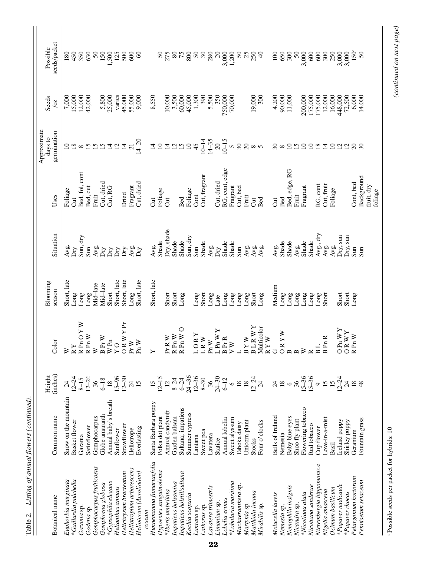| Table 2.—Listing of annual flowers (continued). |                      |                                         |                                                                                                                     |             |                             |                       |                        |                                       |                   |
|-------------------------------------------------|----------------------|-----------------------------------------|---------------------------------------------------------------------------------------------------------------------|-------------|-----------------------------|-----------------------|------------------------|---------------------------------------|-------------------|
|                                                 |                      |                                         |                                                                                                                     | Blooming    |                             |                       | Approximate<br>days to | Seeds                                 | Possible          |
| Botanical name                                  | Common name          | Height<br>(inches)                      | Color                                                                                                               | season      | Situation                   | Uses                  | germination            | $\overline{\text{O}}$                 | seeds/packet      |
| Euphorbia marginata                             | Snow on the mountain |                                         | ≽                                                                                                                   | Short, late | Avg.                        | Foliage               | $\Omega$               | $7,000$<br>15,000<br>12,000<br>42,000 | 180               |
| *Gaillardia pulchella                           | Basket flower        | $12 - 24$<br>8-15                       | $\mathbb{R}\, \mathbb{Y}$                                                                                           | Long        | $\mathop{\rm Dry}\nolimits$ | J                     | $\overline{18}$        |                                       | 450               |
| Gazania sp.                                     | Gazania              |                                         | PnO YW<br>R Pn O Y<br>R Pn W                                                                                        | Long        | Sun, dry                    | Bed, fol, cont        | $\infty$               |                                       | 350               |
| Godetia sp.                                     | Satinflower          | $12 - 24$<br>36                         |                                                                                                                     | Long        | $\sin$                      | Bed, cut              | $\frac{15}{21}$        |                                       | 630               |
| Gomphocarpus fruiticosus                        | Gomphocarpus         |                                         | $\geq$                                                                                                              | Mid-late    | Avg.                        | Fruit                 |                        |                                       | 50                |
| Gomphrena globosa                               | Globe amaranth       | $6-18$                                  | $\rm B~Pr$ W                                                                                                        | Mid-late    | Σή                          | Cut, dried            |                        | 5,800<br>25,000                       | 150               |
| *Gypsophila elegans                             | Annual baby's breath | $\frac{8}{18}$                          | $\mathbb{W}$ Pn                                                                                                     | Short       | $\mathop{\rm Dry}\nolimits$ | Cut, RG               |                        |                                       | 500               |
| Helianthus annuus                               | Sunflower            | $15 - 96$                               | $Y$ O                                                                                                               | Short, late | $\mathbf{D}\mathbf{y}$      |                       |                        | varies                                | $\frac{125}{500}$ |
| Helichrysum bracteatum                          | Strawflower          | $12 - 30$                               | ORWYPr                                                                                                              | Short, late | $\mathop{\rm{Dry}}$         | Dried                 | $\vec{a}$              | 45,000<br>55,000<br>9,000             |                   |
| Heliotropium arborescens                        | Heliotrope           | $24$ S                                  | Pr W                                                                                                                | Long        | Avg.<br>Dry                 | Fragrant              | $\overline{21}$        |                                       | 600               |
| Helioterum (Acrolinium)                         | Everlasting          |                                         | $\Pr$ W                                                                                                             | Short, late |                             | Cut, dried            | $14 - 20$              |                                       | $\infty$          |
| roseum                                          |                      |                                         |                                                                                                                     |             |                             |                       |                        |                                       |                   |
| Hunnemannia fumariaefolia                       | Santa Barbara poppy  | $\frac{15}{12-15}$                      | ≻                                                                                                                   | Short, late | Avg.<br>Shade               | J                     | $\overline{4}$         | 8,550                                 |                   |
| Hypoestes sanguinolenta                         | Polka dot plant      |                                         |                                                                                                                     |             |                             | Foliage               | $\overline{10}$        |                                       | $50\,$            |
| *Iberis umbellata                               | Annual candytuft     | $\overline{12}$                         | R W<br>ዺ                                                                                                            | Short       | Dry, shade                  | J                     | $\overline{4}$         | 10,000                                | 275               |
| Impatiens balsamina                             | Garden balsam        |                                         | Pn $\mathbb{W}$                                                                                                     | Short       | Shade                       |                       | $\overline{c}$         | 3,500                                 | $80\,$            |
| Impatiens holstil/sultana                       | Sultana; impatiens   | $8 - 24$<br>6-24                        | $\begin{array}{lcl} \text{R} \, \text{Pn} \, \text{W} \\ \text{R} \, \text{Pn} \, \text{W} \, \text{O} \end{array}$ | Long        | Shade                       | Bed                   | 15                     | 60,000                                | 75                |
| Kochia scoparia                                 | Summer cypress       |                                         |                                                                                                                     |             | Sun, dry                    | Foliage               | $\mathbf{10}$          | 45,000                                | 800               |
| Lantana sp.                                     | Lantana              |                                         |                                                                                                                     | Long        | Sum                         | Cont                  | 45                     | 1,300                                 | $50\,$            |
| Lathyrus sp.                                    | Sweet pea            | $24 - 36$<br>12-36<br>8-30              | ORY<br>RW<br>ココ                                                                                                     | Short       | Shade                       | Cut, fragrant         | $10 - 14$              | 390                                   | $30\,$            |
| Lavatera trimestris                             | Lavatera             | 36                                      | Pn $W$                                                                                                              | Long        | Avg.                        |                       | $14 - 35$              |                                       | 280               |
| Limonium sp.                                    | Statice              | $24 - 30$                               | $Pn$ W Y<br>Ξ                                                                                                       | Late        | $\rm{Dry}$                  | Cut, dried            | $\infty$               | 5,500<br>350                          | $\infty$          |
| Lobelia erinus                                  | Annual lobelia       | $6 - 12$                                | Pr R                                                                                                                | Long        | Shade                       | RG, cont, edge        | $10 - 15$              | 750,000                               | 3,000             |
| *Lobularia maritima                             | Sweet alyssum        | $\circ$                                 | B Pr I                                                                                                              | Long        | Shade                       | Fragrant              | $\mathbf{v}$           | 70,000                                | 1,200             |
| Machaeranthera sp.                              | Tahoka daisy         | $^{18}_{18}$                            | $\overline{\phantom{0}}$                                                                                            | Long        | $\sin$                      | Cut, bed              | $30\,$                 |                                       |                   |
| Martynia sp.                                    | Unicorn plant        |                                         | BYW                                                                                                                 | Long        | Avg.                        | Fruit                 | $\Omega$               |                                       | ິລ ສ ສູ           |
| Matthiola incana                                | Stocks               |                                         | BLRWY                                                                                                               | Short       |                             | J                     |                        | 19,000                                |                   |
| Mirabilis sp.                                   | Four o'clocks        | $12 - 24$<br>24                         | Multicolor                                                                                                          | Long        | Avg.<br>Avg.                | Bed                   | $\infty$               | 300                                   | $\theta$          |
|                                                 |                      |                                         |                                                                                                                     |             |                             |                       |                        |                                       |                   |
| Molucella laevis                                | Bells of Ireland     | $\stackrel{4}{\sim} \stackrel{8}{\sim}$ | $\begin{array}{c}\nR Y W \\ G \\ OR Y W\n\end{array}$                                                               | Medium      | Avg.<br>Shade               | Jut                   | $30\,$                 | 4,200                                 | 100               |
| Nemesia sp.                                     | Nemesia              |                                         |                                                                                                                     | Long        |                             | Bed                   | $\infty$               | 90,000                                | 650               |
| Nemophila insignis                              | Baby blue eyes       |                                         | $\mathbf{a} \mathbf{b}$                                                                                             | Long        | Shade                       | Bed, edge, RG         | $\overline{0}$         | 11,000                                | 300               |
| Nicandra sp.                                    | Shoo fly plant       |                                         |                                                                                                                     | Long        | Avg.                        | Fruit                 | $\overline{15}$        |                                       | 50                |
| *Nicotiana alata                                | Flowering tobacco    | $\frac{36}{15-36}$<br>15-36<br>9<br>15  | $\geq$                                                                                                              | Long        | Shade                       | Fragrant              | $\overline{10}$        | 200,000                               | 3,000             |
| Nicotiana sanderae                              | Red tobacco          |                                         |                                                                                                                     | Long        | Shade                       |                       | $\overline{10}$        | 175,000                               | 600               |
| Nierembergia hippomanica                        | Cup flower           |                                         | $R = 1$                                                                                                             | Long        | $Avg.$ , dry                | RG, cont              | $\overline{18}$        | 175,000<br>12,000                     | 600               |
| Nigella amascena                                | Love-in-a-mist       |                                         | Pn R                                                                                                                | Short       | Avg.                        | Cut, fruit            | $\overline{4}$         |                                       | 300               |
| Ocimum basilicum                                | Basil                | $\overline{15}$                         |                                                                                                                     |             | Avg.                        | Foliage               | $\Omega$               | 16,000                                | 250               |
| *Papaver nudicaule                              | Iceland poppy        | $12 - 24$                               | Pn $WY$<br>$\circ$                                                                                                  | Short       | Dry, sun                    |                       |                        |                                       |                   |
| *Papaver rhoeas                                 | Shirley poppy        |                                         | RWY<br>$\circ$                                                                                                      | Short       | Dry, sun                    |                       | $\frac{2}{12}$         |                                       | 3,000             |
| Pelargonium hortorum                            | Geranium             |                                         | Pn $W$<br>$\overline{\mathbf{z}}$                                                                                   | Long        | Sun                         | Cont, bed             | $\frac{8}{20}$         | 448,000<br>72,500<br>6,000            | $150^\circ$       |
| Pennisetum setaceum                             | Fountain grass       |                                         |                                                                                                                     |             | $\sin$                      | Background            |                        | 14,000                                | $50\,$            |
|                                                 |                      |                                         |                                                                                                                     |             |                             | fruit, dry<br>foliage |                        |                                       |                   |
|                                                 |                      |                                         |                                                                                                                     |             |                             |                       |                        |                                       |                   |

(continued on next page)

 $\epsilon$  Possible seeds per packet for hybrids:  $10$ Possible seeds per packet for hybrids: 10 *(continued on next page)*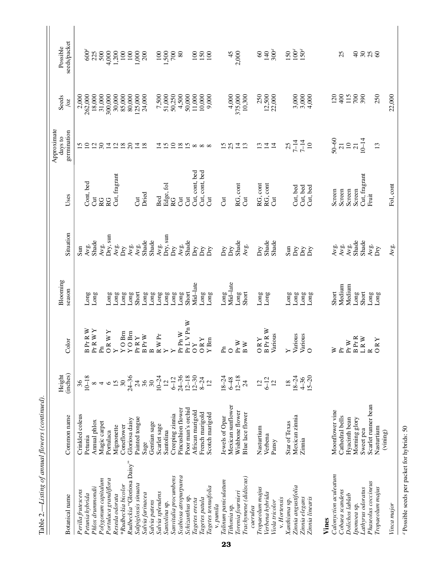| Table 2.—Listing of annual flowers (continued). |                              |                                           |                                                                                                  |                    |                                                         |                |                                       |                           |                          |
|-------------------------------------------------|------------------------------|-------------------------------------------|--------------------------------------------------------------------------------------------------|--------------------|---------------------------------------------------------|----------------|---------------------------------------|---------------------------|--------------------------|
| Botanical name                                  | Common name                  | (inches)<br>Height                        | Color                                                                                            | Blooming<br>season | Situation                                               | Uses           | Approximate<br>germination<br>days to | Seeds<br>$\overline{20}$  | seeds/packet<br>Possible |
| Perilla frutescens                              | Crinkled coleus              | $\frac{36}{10-18}$                        |                                                                                                  |                    | Sun                                                     |                | $\frac{15}{10}$                       | 2,000                     |                          |
| Petunia hybrida                                 | Petunia                      |                                           | Pr R W<br>$Pr$ RWY<br>$\mathbf{m}$                                                               | Long               | Avg.                                                    | Cont, bed      |                                       | 262,000                   | $600^d$                  |
| Phlox drummondii                                | Annual phlox<br>Magic carpet |                                           | Æ                                                                                                | Long               | Shade                                                   | J<br>RG        |                                       | 18,000<br>31,000          | 225<br>500               |
| Polygonum capitalum<br>Portulaca grandiflora    | Portulaca                    | $\infty + \infty$ 7.28                    | ORWY                                                                                             | Long               | Dry, sun<br>Avg.                                        | RG             | 281                                   | 300,000                   | 4,000                    |
| Reseda odorata                                  | Mignonette                   |                                           |                                                                                                  | Long               | Avg.                                                    | Cut, fragrant  |                                       | 30,000                    | 1,200                    |
| *Rudbeckia bicolor                              | Coneflower                   |                                           | $O$ Bm<br>$\geq$ $\geq$                                                                          | Long               | Dry                                                     |                |                                       | 85,000                    | 100                      |
| Rudbeckia "Gloriosa Daisy"                      | Gloriosa daisy               | $24 - 36$                                 | $O$ Bm<br>$\rightarrow$                                                                          | Long               | Avg.                                                    |                | 280                                   | 80,000                    | $100\,$                  |
| Salpiglossis sinuata                            | Painted tongue               | 788                                       | $\mathbf{R}\, \mathbf{Y}$<br>È                                                                   | Short              | Avg.<br>Shade                                           | J              | $\frac{14}{8}$                        | 125,000                   | 1,000                    |
| Salvia farinacea                                | Sage                         |                                           | $\Pr$ W<br>$\overline{a}$                                                                        | Long               |                                                         | Dried          |                                       | 24,000                    | 200                      |
| Salvia patens                                   | Gentian sage                 |                                           | $\begin{array}{c}\n\mathbf{B} \\ \mathbf{R}\,\mathbf{W}\,\mathbf{Pr} \\ \mathbf{Y}\n\end{array}$ | Long               | Shade                                                   |                |                                       |                           |                          |
| Salvia splendens                                | Scarlet sage                 | $10 - 24$<br>$12$                         |                                                                                                  | Long               | Avg.                                                    | Bed            | $\vec{a}$                             | 7,500<br>51,000<br>50,250 | $100\,$                  |
| Santolina sp.                                   | Santolina                    |                                           |                                                                                                  | Long               | Dry, sun                                                | Edge, fol      | $\frac{15}{10}$                       |                           | 1,500                    |
| Sanvitalia procumbens                           | Creeping zinnia              |                                           | $\blacktriangleright$                                                                            | Long               | ΔÄ                                                      | RG             |                                       |                           | 700                      |
| Scabiosa atropurpurea                           | Pincushion flower            | $6-12$<br>24-36<br>12-18<br>12-30<br>8-24 | Pn $\mathbf W$<br>È                                                                              | Long               | Avg.<br>Shade                                           | J              | $\frac{8}{15}$                        | 4,500                     | $80\,$                   |
| Schizanthus sp.                                 | Poor man's orchid            |                                           | PrLVPnW                                                                                          | Short              |                                                         | J              |                                       | 50,000                    |                          |
| Tagetes erecta                                  | African marigold             |                                           | $\overline{\mathbf{r}}$<br>$\sigma$                                                              | Mid-late           | Dry                                                     | Cut, cont, bed | $\infty$                              | 11,000                    | 100                      |
| Tagetes patula                                  | French marigold              |                                           | $\mathbb{R}\, \mathbb{Y}$<br>$\circ$                                                             | Long               | Ъrу                                                     | Cut, cont, bed | $\infty$                              | 10,000                    | 150                      |
| Tagetes tennuifolia<br>v. pumila                | Scotch marigold              |                                           | <b>Bm</b><br>$\mathbf{\Sigma}$                                                                   | Long               | Dry                                                     | J              |                                       | 9,000                     | 100                      |
| Talinum paniculatum                             | Jewels of Opar               | $18 - 24$                                 | ዲ                                                                                                | Long               | Ďту                                                     | J              | 15                                    |                           |                          |
| Tithonia sp.                                    | Mexican sunflower            | $6 - 48$                                  | $\circ$                                                                                          | Mid-late           | Dry                                                     |                | 25                                    | 4,000                     | 45                       |
| Torenia fournieri                               | Wishbone flower              | $12 - 18$                                 | $\Pr$ W                                                                                          | Long               | Shade                                                   | RG, cont       | $\overline{4}$                        | 375,000                   | 2,000                    |
| Trachymene (didiscus)                           | Blue lace flower             | $\overline{24}$                           | $_{\rm B}$ w                                                                                     | Short              | Avg.                                                    | J              | 13                                    | 10,300                    |                          |
| $c$ aerulea                                     |                              |                                           |                                                                                                  |                    |                                                         |                |                                       |                           |                          |
| Tropaeolum majus                                | Nasturtium                   | $\overline{c}$                            | <b>ORY</b>                                                                                       | Long               | Dry                                                     | RG, cont       | $\mathfrak{L}$                        | 250                       | $\pmb{\mathcal{S}}$      |
| Verbena hybrida                                 | Verbena                      | $6 - 12$                                  | <b>BPrRW</b>                                                                                     | Long               | Shade                                                   | RG, cont       | $\overline{4}$                        |                           | 140                      |
| Viola tricolor                                  | Pansy                        | $\overline{12}$                           | Various                                                                                          |                    | Shade                                                   | J              | $\overline{4}$                        | $12,500$<br>$22,000$      | 300 <sup>d</sup>         |
| v. Hortensis                                    |                              |                                           |                                                                                                  |                    |                                                         |                |                                       |                           |                          |
| Xanthisma sp.                                   | Star of Texas                | $\frac{8}{18}$                            | $\overline{\mathbf{Y}}$                                                                          | Long               | Sun                                                     |                | 25                                    |                           | 150                      |
| Zinnia angustifolia                             | Mexican zinnia               | $18 - 24$                                 | Various                                                                                          | Long               | ĎУ                                                      | Cut, bed       | $7 - 14$                              | 3,000                     | $100^d$                  |
| Zinnia elegans                                  | Zinnia                       | $4-36$<br>15-20                           | $\frac{V_{\text{arious}}}{O}$                                                                    | Long               | ΔY                                                      | Cut, bed       | $7 - 14$                              |                           | $150^d$                  |
| Zinnia linearis                                 |                              |                                           |                                                                                                  | Long               | Dту                                                     | Cut, bed       | $\begin{array}{c} 1 \end{array}$      | 4,000                     |                          |
| Vines                                           |                              |                                           |                                                                                                  |                    |                                                         |                |                                       |                           |                          |
| Calonyction aculeatum                           | Moonflower vine              |                                           | $\geq$                                                                                           | Short              |                                                         | Screen         | $50 - 60$                             | 120                       |                          |
| Cobaea scandens                                 | Cathedral bells              |                                           | È,                                                                                               | Medium             |                                                         | Screen         | $\overline{21}$                       | 400                       | 25                       |
| Dolichos lablab                                 | Hyacinth bean                |                                           | Pr W                                                                                             | Medium             | $Ax$ gia de<br>$Ax$ ande<br>$Ax$<br>$Ax$<br>$Ax$<br>$B$ | Screen         | $\Xi$                                 | 115                       |                          |
| Ipomoea sp.                                     | Morning glory                |                                           | <b>BPrR</b>                                                                                      | Long               |                                                         | Screen         | $\overline{c}$                        | 700                       | $\overline{a}$           |
| Lathyrus odoratus                               | Sweet pea                    |                                           | $\tt L R W$                                                                                      | Short              | Shade                                                   | Cut, fragrant  | $10 - 14$                             | 390                       |                          |
| Phaseolus coccineus                             | Scarlet runner bean          |                                           | $\approx$ $\overline{\circ}$                                                                     | Long               | Avg.                                                    | Fruit          |                                       |                           | 288                      |
| Tropaeolum majus                                | Nasturtium                   |                                           | R Y                                                                                              | Long               | $\bar{D}ry$                                             |                | 13                                    | 250                       |                          |
| Vinca major                                     | (vining)                     |                                           |                                                                                                  |                    | Avg.                                                    | Fol, cont      |                                       | 22,000                    |                          |
|                                                 |                              |                                           |                                                                                                  |                    |                                                         |                |                                       |                           |                          |

 $\emph{^a}$  Possible seeds per packet for hybrids: 50 Possible seeds per packet for hybrids: 50